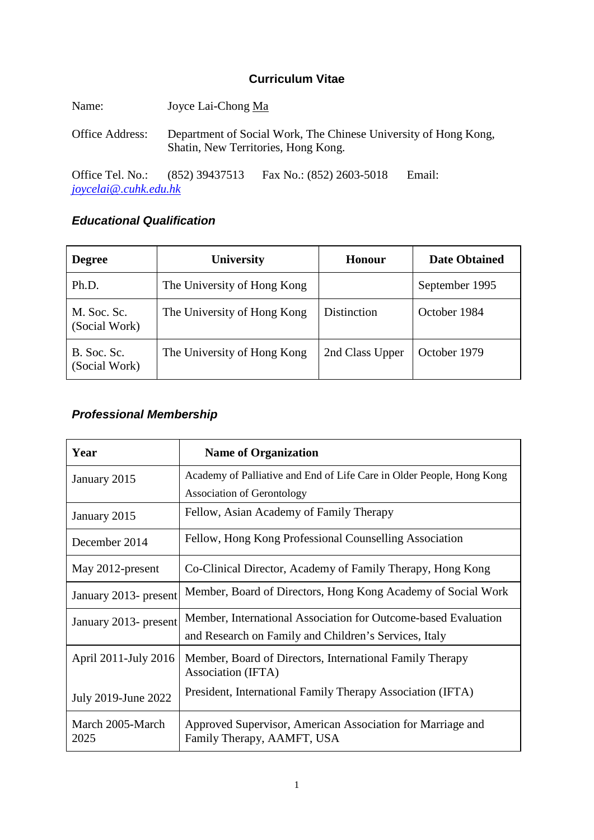# **Curriculum Vitae**

| Name:            | Joyce Lai-Chong Ma                                                                                     |                          |        |
|------------------|--------------------------------------------------------------------------------------------------------|--------------------------|--------|
| Office Address:  | Department of Social Work, The Chinese University of Hong Kong,<br>Shatin, New Territories, Hong Kong. |                          |        |
| Office Tel. No.: | $(852)$ 39437513                                                                                       | Fax No.: (852) 2603-5018 | Email: |

*[joycelai@.cuhk.edu.hk](mailto:joycelai@.cuhk.edu.hk)*

# *Educational Qualification*

| <b>Degree</b>                | University                  | Honour          | <b>Date Obtained</b> |
|------------------------------|-----------------------------|-----------------|----------------------|
| Ph.D.                        | The University of Hong Kong |                 | September 1995       |
| M. Soc. Sc.<br>(Social Work) | The University of Hong Kong | Distinction     | October 1984         |
| B. Soc. Sc.<br>(Social Work) | The University of Hong Kong | 2nd Class Upper | October 1979         |

# *Professional Membership*

| Year                     | <b>Name of Organization</b>                                                              |
|--------------------------|------------------------------------------------------------------------------------------|
| January 2015             | Academy of Palliative and End of Life Care in Older People, Hong Kong                    |
|                          | <b>Association of Gerontology</b>                                                        |
| January 2015             | Fellow, Asian Academy of Family Therapy                                                  |
| December 2014            | Fellow, Hong Kong Professional Counselling Association                                   |
| May 2012-present         | Co-Clinical Director, Academy of Family Therapy, Hong Kong                               |
| January 2013- present    | Member, Board of Directors, Hong Kong Academy of Social Work                             |
| January 2013- present    | Member, International Association for Outcome-based Evaluation                           |
|                          | and Research on Family and Children's Services, Italy                                    |
| April 2011-July 2016     | Member, Board of Directors, International Family Therapy<br>Association (IFTA)           |
| July 2019-June 2022      | President, International Family Therapy Association (IFTA)                               |
| March 2005-March<br>2025 | Approved Supervisor, American Association for Marriage and<br>Family Therapy, AAMFT, USA |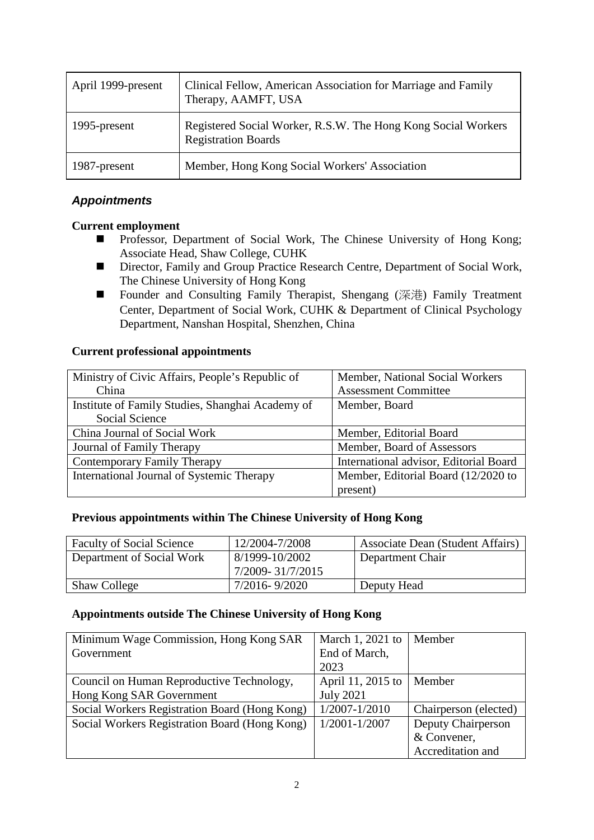| April 1999-present | Clinical Fellow, American Association for Marriage and Family<br>Therapy, AAMFT, USA        |
|--------------------|---------------------------------------------------------------------------------------------|
| 1995-present       | Registered Social Worker, R.S.W. The Hong Kong Social Workers<br><b>Registration Boards</b> |
| 1987-present       | Member, Hong Kong Social Workers' Association                                               |

# *Appointments*

## **Current employment**

- Professor, Department of Social Work, The Chinese University of Hong Kong; Associate Head, Shaw College, CUHK
- Director, Family and Group Practice Research Centre, Department of Social Work, The Chinese University of Hong Kong
- Founder and Consulting Family Therapist, Shengang (深港) Family Treatment Center, Department of Social Work, CUHK & Department of Clinical Psychology Department, Nanshan Hospital, Shenzhen, China

## **Current professional appointments**

| Ministry of Civic Affairs, People's Republic of  | Member, National Social Workers        |  |
|--------------------------------------------------|----------------------------------------|--|
| China                                            | <b>Assessment Committee</b>            |  |
| Institute of Family Studies, Shanghai Academy of | Member, Board                          |  |
| Social Science                                   |                                        |  |
| China Journal of Social Work                     | Member, Editorial Board                |  |
| Journal of Family Therapy                        | Member, Board of Assessors             |  |
| Contemporary Family Therapy                      | International advisor, Editorial Board |  |
| International Journal of Systemic Therapy        | Member, Editorial Board (12/2020 to    |  |
|                                                  | present)                               |  |

## **Previous appointments within The Chinese University of Hong Kong**

| <b>Faculty of Social Science</b> | 12/2004-7/2008   | Associate Dean (Student Affairs) |
|----------------------------------|------------------|----------------------------------|
| Department of Social Work        | 8/1999-10/2002   | Department Chair                 |
|                                  | 7/2009-31/7/2015 |                                  |
| <b>Shaw College</b>              | 7/2016-9/2020    | Deputy Head                      |

## **Appointments outside The Chinese University of Hong Kong**

| Minimum Wage Commission, Hong Kong SAR        | March 1, 2021 to  | Member                |
|-----------------------------------------------|-------------------|-----------------------|
| Government                                    | End of March,     |                       |
|                                               | 2023              |                       |
| Council on Human Reproductive Technology,     | April 11, 2015 to | Member                |
| Hong Kong SAR Government                      | <b>July 2021</b>  |                       |
| Social Workers Registration Board (Hong Kong) | $1/2007 - 1/2010$ | Chairperson (elected) |
| Social Workers Registration Board (Hong Kong) | $1/2001 - 1/2007$ | Deputy Chairperson    |
|                                               |                   | & Convener,           |
|                                               |                   | Accreditation and     |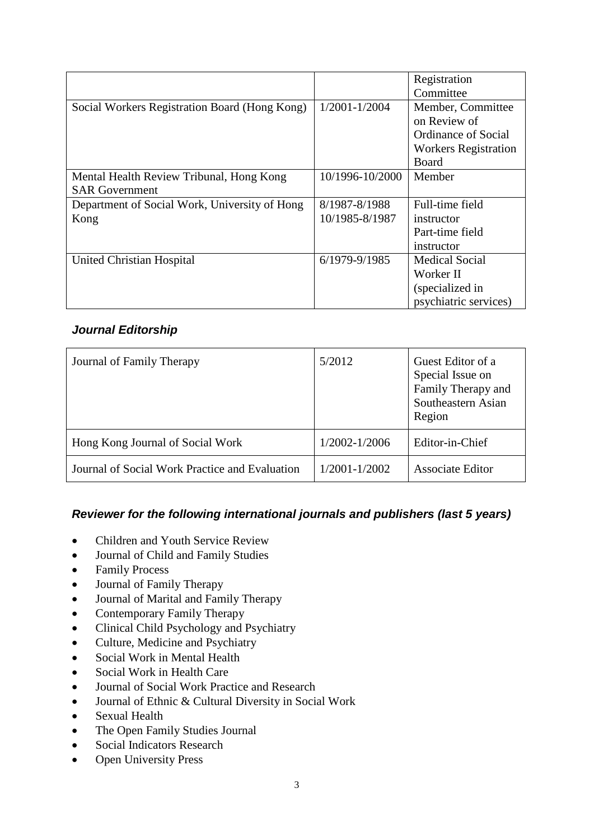|                                               |                 | Registration                |
|-----------------------------------------------|-----------------|-----------------------------|
|                                               |                 | Committee                   |
| Social Workers Registration Board (Hong Kong) | 1/2001-1/2004   | Member, Committee           |
|                                               |                 | on Review of                |
|                                               |                 | Ordinance of Social         |
|                                               |                 | <b>Workers Registration</b> |
|                                               |                 | Board                       |
| Mental Health Review Tribunal, Hong Kong      | 10/1996-10/2000 | Member                      |
| <b>SAR Government</b>                         |                 |                             |
| Department of Social Work, University of Hong | 8/1987-8/1988   | Full-time field             |
| Kong                                          | 10/1985-8/1987  | instructor                  |
|                                               |                 | Part-time field             |
|                                               |                 | instructor                  |
| United Christian Hospital                     | 6/1979-9/1985   | <b>Medical Social</b>       |
|                                               |                 | Worker II                   |
|                                               |                 | (specialized in             |
|                                               |                 | psychiatric services)       |

# *Journal Editorship*

| Journal of Family Therapy                      | 5/2012        | Guest Editor of a<br>Special Issue on<br>Family Therapy and<br>Southeastern Asian<br>Region |
|------------------------------------------------|---------------|---------------------------------------------------------------------------------------------|
| Hong Kong Journal of Social Work               | 1/2002-1/2006 | Editor-in-Chief                                                                             |
| Journal of Social Work Practice and Evaluation | 1/2001-1/2002 | <b>Associate Editor</b>                                                                     |

# *Reviewer for the following international journals and publishers (last 5 years)*

- Children and Youth Service Review
- Journal of Child and Family Studies
- Family Process
- Journal of Family Therapy
- Journal of Marital and Family Therapy
- Contemporary Family Therapy
- Clinical Child Psychology and Psychiatry
- Culture, Medicine and Psychiatry
- Social Work in Mental Health
- Social Work in Health Care
- Journal of Social Work Practice and Research
- Journal of Ethnic & Cultural Diversity in Social Work
- Sexual Health
- The Open Family Studies Journal
- Social Indicators Research
- Open University Press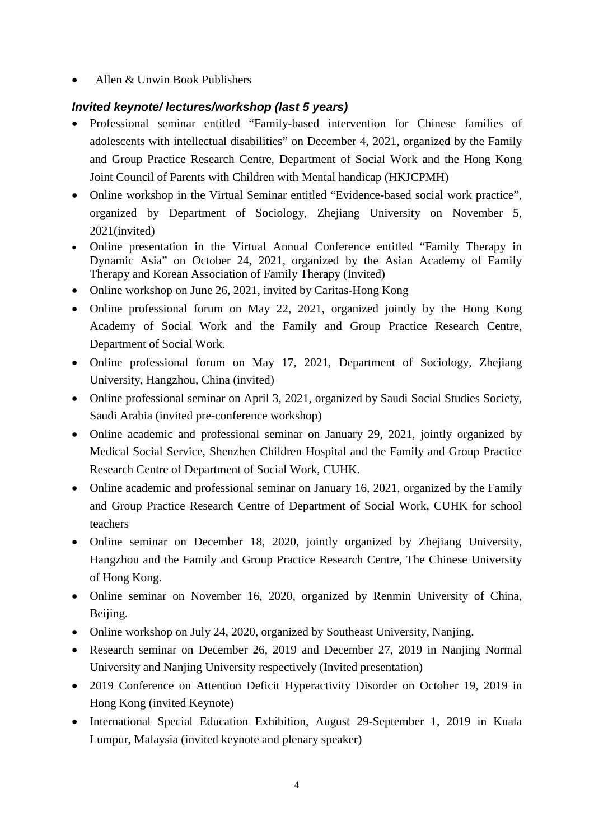• Allen & Unwin Book Publishers

# *Invited keynote/ lectures/workshop (last 5 years)*

- Professional seminar entitled "Family-based intervention for Chinese families of adolescents with intellectual disabilities" on December 4, 2021, organized by the Family and Group Practice Research Centre, Department of Social Work and the Hong Kong Joint Council of Parents with Children with Mental handicap (HKJCPMH)
- Online workshop in the Virtual Seminar entitled "Evidence-based social work practice", organized by Department of Sociology, Zhejiang University on November 5, 2021(invited)
- Online presentation in the Virtual Annual Conference entitled "Family Therapy in Dynamic Asia" on October 24, 2021, organized by the Asian Academy of Family Therapy and Korean Association of Family Therapy (Invited)
- Online workshop on June 26, 2021, invited by Caritas-Hong Kong
- Online professional forum on May 22, 2021, organized jointly by the Hong Kong Academy of Social Work and the Family and Group Practice Research Centre, Department of Social Work.
- Online professional forum on May 17, 2021, Department of Sociology, Zhejiang University, Hangzhou, China (invited)
- Online professional seminar on April 3, 2021, organized by Saudi Social Studies Society, Saudi Arabia (invited pre-conference workshop)
- Online academic and professional seminar on January 29, 2021, jointly organized by Medical Social Service, Shenzhen Children Hospital and the Family and Group Practice Research Centre of Department of Social Work, CUHK.
- Online academic and professional seminar on January 16, 2021, organized by the Family and Group Practice Research Centre of Department of Social Work, CUHK for school teachers
- Online seminar on December 18, 2020, jointly organized by Zhejiang University, Hangzhou and the Family and Group Practice Research Centre, The Chinese University of Hong Kong.
- Online seminar on November 16, 2020, organized by Renmin University of China, Beijing.
- Online workshop on July 24, 2020, organized by Southeast University, Nanjing.
- Research seminar on December 26, 2019 and December 27, 2019 in Nanjing Normal University and Nanjing University respectively (Invited presentation)
- 2019 Conference on Attention Deficit Hyperactivity Disorder on October 19, 2019 in Hong Kong (invited Keynote)
- International Special Education Exhibition, August 29-September 1, 2019 in Kuala Lumpur, Malaysia (invited keynote and plenary speaker)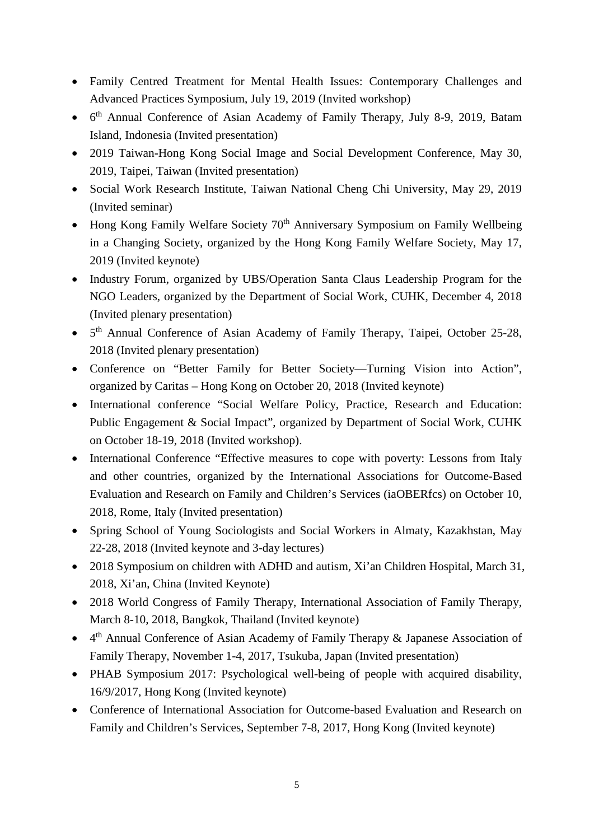- Family Centred Treatment for Mental Health Issues: Contemporary Challenges and Advanced Practices Symposium, July 19, 2019 (Invited workshop)
- 6th Annual Conference of Asian Academy of Family Therapy, July 8-9, 2019, Batam Island, Indonesia (Invited presentation)
- 2019 Taiwan-Hong Kong Social Image and Social Development Conference, May 30, 2019, Taipei, Taiwan (Invited presentation)
- Social Work Research Institute, Taiwan National Cheng Chi University, May 29, 2019 (Invited seminar)
- Hong Kong Family Welfare Society  $70<sup>th</sup>$  Anniversary Symposium on Family Wellbeing in a Changing Society, organized by the Hong Kong Family Welfare Society, May 17, 2019 (Invited keynote)
- Industry Forum, organized by UBS/Operation Santa Claus Leadership Program for the NGO Leaders, organized by the Department of Social Work, CUHK, December 4, 2018 (Invited plenary presentation)
- $5<sup>th</sup>$  Annual Conference of Asian Academy of Family Therapy, Taipei, October 25-28, 2018 (Invited plenary presentation)
- Conference on "Better Family for Better Society—Turning Vision into Action", organized by Caritas – Hong Kong on October 20, 2018 (Invited keynote)
- International conference "Social Welfare Policy, Practice, Research and Education: Public Engagement & Social Impact", organized by Department of Social Work, CUHK on October 18-19, 2018 (Invited workshop).
- International Conference "Effective measures to cope with poverty: Lessons from Italy and other countries, organized by the International Associations for Outcome-Based Evaluation and Research on Family and Children's Services (iaOBERfcs) on October 10, 2018, Rome, Italy (Invited presentation)
- Spring School of Young Sociologists and Social Workers in Almaty, Kazakhstan, May 22-28, 2018 (Invited keynote and 3-day lectures)
- 2018 Symposium on children with ADHD and autism, Xi'an Children Hospital, March 31, 2018, Xi'an, China (Invited Keynote)
- 2018 World Congress of Family Therapy, International Association of Family Therapy, March 8-10, 2018, Bangkok, Thailand (Invited keynote)
- 4th Annual Conference of Asian Academy of Family Therapy & Japanese Association of Family Therapy, November 1-4, 2017, Tsukuba, Japan (Invited presentation)
- PHAB Symposium 2017: Psychological well-being of people with acquired disability, 16/9/2017, Hong Kong (Invited keynote)
- Conference of International Association for Outcome-based Evaluation and Research on Family and Children's Services, September 7-8, 2017, Hong Kong (Invited keynote)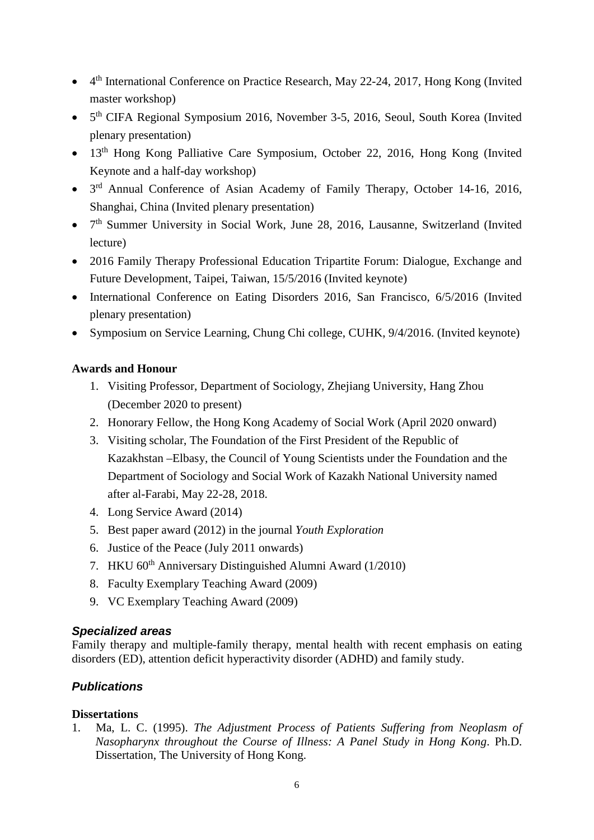- 4<sup>th</sup> International Conference on Practice Research, May 22-24, 2017, Hong Kong (Invited master workshop)
- 5<sup>th</sup> CIFA Regional Symposium 2016, November 3-5, 2016, Seoul, South Korea (Invited plenary presentation)
- 13<sup>th</sup> Hong Kong Palliative Care Symposium, October 22, 2016, Hong Kong (Invited Keynote and a half-day workshop)
- 3rd Annual Conference of Asian Academy of Family Therapy, October 14-16, 2016, Shanghai, China (Invited plenary presentation)
- 7<sup>th</sup> Summer University in Social Work, June 28, 2016, Lausanne, Switzerland (Invited lecture)
- 2016 Family Therapy Professional Education Tripartite Forum: Dialogue, Exchange and Future Development, Taipei, Taiwan, 15/5/2016 (Invited keynote)
- International Conference on Eating Disorders 2016, San Francisco, 6/5/2016 (Invited plenary presentation)
- Symposium on Service Learning, Chung Chi college, CUHK,  $9/4/2016$ . (Invited keynote)

## **Awards and Honour**

- 1. Visiting Professor, Department of Sociology, Zhejiang University, Hang Zhou (December 2020 to present)
- 2. Honorary Fellow, the Hong Kong Academy of Social Work (April 2020 onward)
- 3. Visiting scholar, The Foundation of the First President of the Republic of Kazakhstan –Elbasy, the Council of Young Scientists under the Foundation and the Department of Sociology and Social Work of Kazakh National University named after al-Farabi, May 22-28, 2018.
- 4. Long Service Award (2014)
- 5. Best paper award (2012) in the journal *Youth Exploration*
- 6. Justice of the Peace (July 2011 onwards)
- 7. HKU  $60<sup>th</sup>$  Anniversary Distinguished Alumni Award (1/2010)
- 8. Faculty Exemplary Teaching Award (2009)
- 9. VC Exemplary Teaching Award (2009)

## *Specialized areas*

Family therapy and multiple-family therapy, mental health with recent emphasis on eating disorders (ED), attention deficit hyperactivity disorder (ADHD) and family study.

# *Publications*

## **Dissertations**

1. Ma, L. C. (1995). *The Adjustment Process of Patients Suffering from Neoplasm of Nasopharynx throughout the Course of Illness: A Panel Study in Hong Kong*. Ph.D. Dissertation, The University of Hong Kong.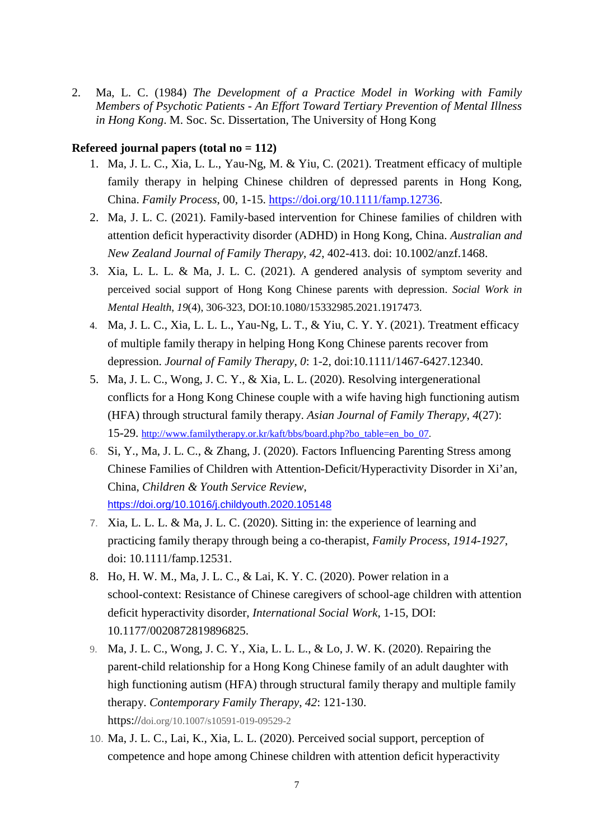2. Ma, L. C. (1984) *The Development of a Practice Model in Working with Family Members of Psychotic Patients - An Effort Toward Tertiary Prevention of Mental Illness in Hong Kong*. M. Soc. Sc. Dissertation, The University of Hong Kong

#### **Refereed journal papers (total no = 112)**

- 1. Ma, J. L. C., Xia, L. L., Yau-Ng, M. & Yiu, C. (2021). Treatment efficacy of multiple family therapy in helping Chinese children of depressed parents in Hong Kong, China. *Family Process*, 00, 1-15. [https://doi.org/10.1111/famp.12736.](https://doi.org/10.1111/famp.12736)
- 2. Ma, J. L. C. (2021). Family-based intervention for Chinese families of children with attention deficit hyperactivity disorder (ADHD) in Hong Kong, China. *Australian and New Zealand Journal of Family Therapy*, *42*, 402-413. doi: 10.1002/anzf.1468.
- 3. Xia, L. L. L. & Ma, J. L. C. (2021). A gendered analysis of symptom severity and perceived social support of Hong Kong Chinese parents with depression. *Social Work in Mental Health*, *19*(4), 306-323, DOI:10.1080/15332985.2021.1917473.
- 4. Ma, J. L. C., Xia, L. L. L., Yau-Ng, L. T., & Yiu, C. Y. Y. (2021). Treatment efficacy of multiple family therapy in helping Hong Kong Chinese parents recover from depression. *Journal of Family Therapy*, *0*: 1-2, doi:10.1111/1467-6427.12340.
- 5. Ma, J. L. C., Wong, J. C. Y., & Xia, L. L. (2020). Resolving intergenerational conflicts for a Hong Kong Chinese couple with a wife having high functioning autism (HFA) through structural family therapy. *Asian Journal of Family Therapy*, *4*(27): 15-29. [http://www.familytherapy.or.kr/kaft/bbs/board.php?bo\\_table=en\\_bo\\_07.](http://www.familytherapy.or.kr/kaft/bbs/board.php?bo_table=en_bo_07)
- 6. Si, Y., Ma, J. L. C., & Zhang, J. (2020). Factors Influencing Parenting Stress among Chinese Families of Children with Attention-Deficit/Hyperactivity Disorder in Xi'an, China, *Children & Youth Service Review*, <https://doi.org/10.1016/j.childyouth.2020.105148>
- 7. Xia, L. L. L. & Ma, J. L. C. (2020). Sitting in: the experience of learning and practicing family therapy through being a co-therapist, *Family Process*, *1914-1927*, doi: 10.1111/famp.12531.
- 8. Ho, H. W. M., Ma, J. L. C., & Lai, K. Y. C. (2020). Power relation in a school-context: Resistance of Chinese caregivers of school-age children with attention deficit hyperactivity disorder, *International Social Work*, 1-15, DOI: 10.1177/0020872819896825.
- 9. Ma, J. L. C., Wong, J. C. Y., Xia, L. L. L., & Lo, J. W. K. (2020). Repairing the parent-child relationship for a Hong Kong Chinese family of an adult daughter with high functioning autism (HFA) through structural family therapy and multiple family therapy. *Contemporary Family Therapy*, *42*: 121-130. https://doi.org/10.1007/s10591-019-09529-2
- 10. Ma, J. L. C., Lai, K., Xia, L. L. (2020). Perceived social support, perception of competence and hope among Chinese children with attention deficit hyperactivity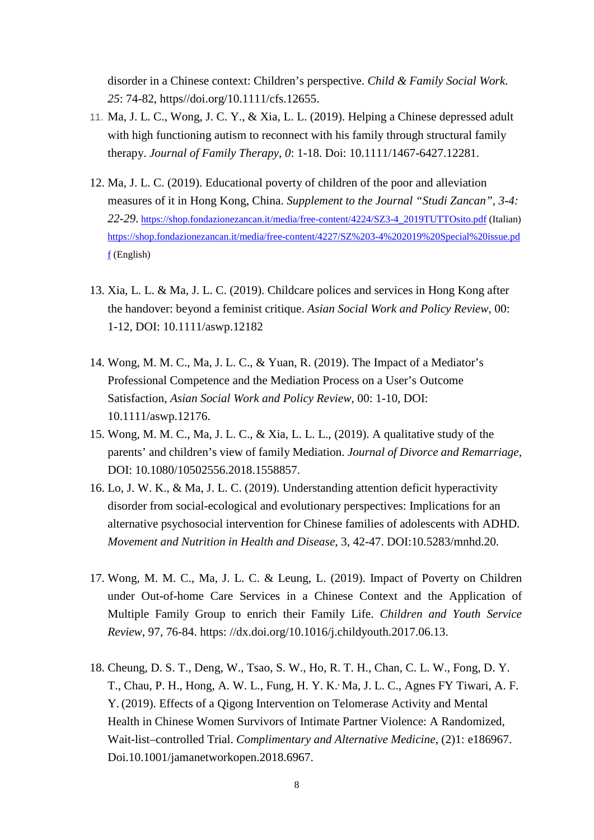disorder in a Chinese context: Children's perspective. *Child & Family Social Work*. *25*: 74-82, https//doi.org/10.1111/cfs.12655.

- 11. Ma, J. L. C., Wong, J. C. Y., & Xia, L. L. (2019). Helping a Chinese depressed adult with high functioning autism to reconnect with his family through structural family therapy. *Journal of Family Therapy*, *0*: 1-18. Doi: 10.1111/1467-6427.12281.
- 12. Ma, J. L. C. (2019). Educational poverty of children of the poor and alleviation measures of it in Hong Kong, China. *Supplement to the Journal "Studi Zancan", 3-4: 22-29*. [https://shop.fondazionezancan.it/media/free-content/4224/SZ3-4\\_2019TUTTOsito.pdf](https://shop.fondazionezancan.it/media/free-content/4224/SZ3-4_2019TUTTOsito.pdf) (Italian) [https://shop.fondazionezancan.it/media/free-content/4227/SZ%203-4%202019%20Special%20issue.pd](https://shop.fondazionezancan.it/media/free-content/4227/SZ%203-4%202019%20Special%20issue.pdf)  $f$  (English)
- 13. Xia, L. L. & Ma, J. L. C. (2019). Childcare polices and services in Hong Kong after the handover: beyond a feminist critique. *Asian Social Work and Policy Review*, 00: 1-12, DOI: 10.1111/aswp.12182
- 14. Wong, M. M. C., Ma, J. L. C., & Yuan, R. (2019). The Impact of a Mediator's Professional Competence and the Mediation Process on a User's Outcome Satisfaction, *Asian Social Work and Policy Review*, 00: 1-10, DOI: 10.1111/aswp.12176.
- 15. Wong, M. M. C., Ma, J. L. C., & Xia, L. L. L., (2019). A qualitative study of the parents' and children's view of family Mediation. *Journal of Divorce and Remarriage*, DOI: 10.1080/10502556.2018.1558857.
- 16. Lo, J. W. K., & Ma, J. L. C. (2019). Understanding attention deficit hyperactivity disorder from social-ecological and evolutionary perspectives: Implications for an alternative psychosocial intervention for Chinese families of adolescents with ADHD. *Movement and Nutrition in Health and Disease*, 3, 42-47. DOI:10.5283/mnhd.20.
- 17. Wong, M. M. C., Ma, J. L. C. & Leung, L. (2019). Impact of Poverty on Children under Out-of-home Care Services in a Chinese Context and the Application of Multiple Family Group to enrich their Family Life. *Children and Youth Service Review*, 97, 76-84. https: //dx.doi.org/10.1016/j.childyouth.2017.06.13.
- 18. Cheung, D. S. T., Deng, W., Tsao, S. W., Ho, R. T. H., Chan, C. L. W., Fong, D. Y. T., Chau, P. H., Hong, A. W. L., Fung, H. Y. K., Ma, J. L. C., Agnes FY Tiwari, A. F. Y. (2019). Effects of a Qigong Intervention on Telomerase Activity and Mental Health in Chinese Women Survivors of Intimate Partner Violence: A Randomized, Wait-list–controlled Trial. *Complimentary and Alternative Medicine*, (2)1: e186967. Doi.10.1001/jamanetworkopen.2018.6967.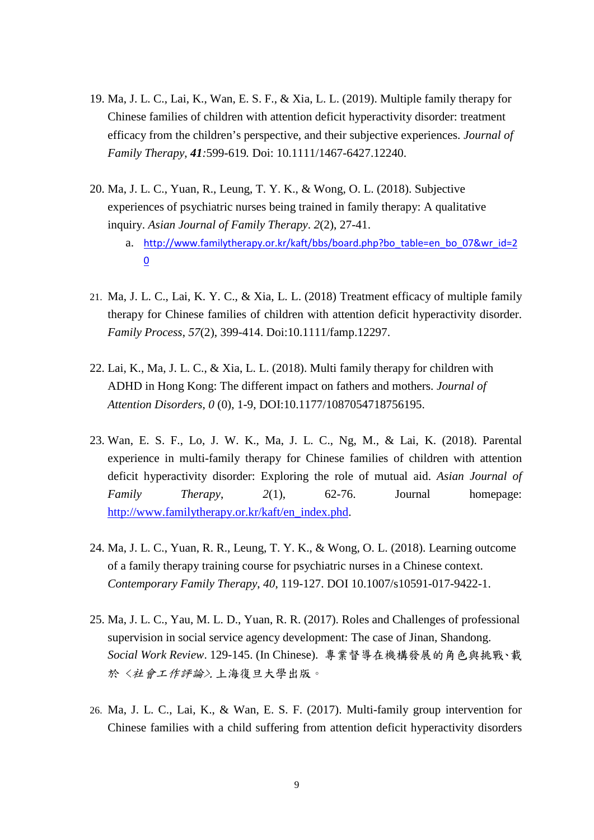- 19. Ma, J. L. C., Lai, K., Wan, E. S. F., & Xia, L. L. (2019). Multiple family therapy for Chinese families of children with attention deficit hyperactivity disorder: treatment efficacy from the children's perspective, and their subjective experiences. *Journal of Family Therapy*, *41:*599-619*.* Doi: 10.1111/1467-6427.12240.
- 20. Ma, J. L. C., Yuan, R., Leung, T. Y. K., & Wong, O. L. (2018). Subjective experiences of psychiatric nurses being trained in family therapy: A qualitative inquiry. *Asian Journal of Family Therapy*. *2*(2), 27-41.
	- a. [http://www.familytherapy.or.kr/kaft/bbs/board.php?bo\\_table=en\\_bo\\_07&wr\\_id=2](http://www.familytherapy.or.kr/kaft/bbs/board.php?bo_table=en_bo_07&wr_id=20) [0](http://www.familytherapy.or.kr/kaft/bbs/board.php?bo_table=en_bo_07&wr_id=20)
- 21. Ma, J. L. C., Lai, K. Y. C., & Xia, L. L. (2018) Treatment efficacy of multiple family therapy for Chinese families of children with attention deficit hyperactivity disorder. *Family Process*, *57*(2), 399-414. Doi:10.1111/famp.12297.
- 22. Lai, K., Ma, J. L. C., & Xia, L. L. (2018). Multi family therapy for children with ADHD in Hong Kong: The different impact on fathers and mothers. *Journal of Attention Disorders*, *0* (0), 1-9, DOI:10.1177/1087054718756195.
- 23. Wan, E. S. F., Lo, J. W. K., Ma, J. L. C., Ng, M., & Lai, K. (2018). Parental experience in multi-family therapy for Chinese families of children with attention deficit hyperactivity disorder: Exploring the role of mutual aid. *Asian Journal of Family Therapy*, *2*(1), 62-76. Journal homepage: [http://www.familytherapy.or.kr/kaft/en\\_index.phd.](http://www.familytherapy.or.kr/kaft/en_index.phd)
- 24. Ma, J. L. C., Yuan, R. R., Leung, T. Y. K., & Wong, O. L. (2018). Learning outcome of a family therapy training course for psychiatric nurses in a Chinese context. *Contemporary Family Therapy*, *40*, 119-127. DOI 10.1007/s10591-017-9422-1.
- 25. Ma, J. L. C., Yau, M. L. D., Yuan, R. R. (2017). Roles and Challenges of professional supervision in social service agency development: The case of Jinan, Shandong. *Social Work Review*. 129-145. (In Chinese). 專業督導在機構發展的角色與挑戰、載 於 <社會工作評論>.上海復旦大學出版。
- 26. Ma, J. L. C., Lai, K., & Wan, E. S. F. (2017). Multi-family group intervention for Chinese families with a child suffering from attention deficit hyperactivity disorders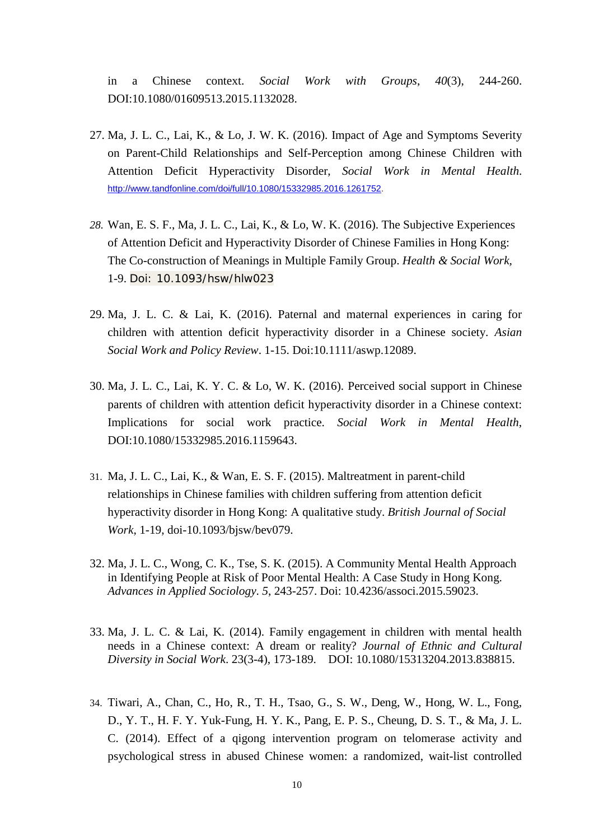in a Chinese context. *Social Work with Groups*, *40*(3), 244-260. DOI:10.1080/01609513.2015.1132028.

- 27. Ma, J. L. C., Lai, K., & Lo, J. W. K. (2016). Impact of Age and Symptoms Severity on Parent-Child Relationships and Self-Perception among Chinese Children with Attention Deficit Hyperactivity Disorder, *Social Work in Mental Health*. [http://www.tandfonline.com/doi/full/10.1080/15332985.2016.1261752.](http://www.tandfonline.com/doi/full/10.1080/15332985.2016.1261752)
- *28.* Wan, E. S. F., Ma, J. L. C., Lai, K., & Lo, W. K. (2016). The Subjective Experiences of Attention Deficit and Hyperactivity Disorder of Chinese Families in Hong Kong: The Co-construction of Meanings in Multiple Family Group. *Health & Social Work,*  1-9. Doi: 10.1093/hsw/hlw023
- 29. Ma, J. L. C. & Lai, K. (2016). Paternal and maternal experiences in caring for children with attention deficit hyperactivity disorder in a Chinese society. *Asian Social Work and Policy Review*. 1-15. Doi:10.1111/aswp.12089.
- 30. Ma, J. L. C., Lai, K. Y. C. & Lo, W. K. (2016). Perceived social support in Chinese parents of children with attention deficit hyperactivity disorder in a Chinese context: Implications for social work practice. *Social Work in Mental Health*, DOI:10.1080/15332985.2016.1159643.
- 31. Ma, J. L. C., Lai, K., & Wan, E. S. F. (2015). Maltreatment in parent-child relationships in Chinese families with children suffering from attention deficit hyperactivity disorder in Hong Kong: A qualitative study. *British Journal of Social Work*, 1-19, doi-10.1093/bjsw/bev079.
- 32. Ma, J. L. C., Wong, C. K., Tse, S. K. (2015). A Community Mental Health Approach in Identifying People at Risk of Poor Mental Health: A Case Study in Hong Kong. *Advances in Applied Sociology*. *5*, 243-257. Doi: 10.4236/associ.2015.59023.
- 33. Ma, J. L. C. & Lai, K. (2014). Family engagement in children with mental health needs in a Chinese context: A dream or reality? *Journal of Ethnic and Cultural Diversity in Social Work*. 23(3-4), 173-189. DOI: 10.1080/15313204.2013.838815.
- 34. Tiwari, A., Chan, C., Ho, R., T. H., Tsao, G., S. W., Deng, W., Hong, W. L., Fong, D., Y. T., H. F. Y. Yuk-Fung, H. Y. K., Pang, E. P. S., Cheung, D. S. T., & Ma, J. L. C. (2014). Effect of a qigong intervention program on telomerase activity and psychological stress in abused Chinese women: a randomized, wait-list controlled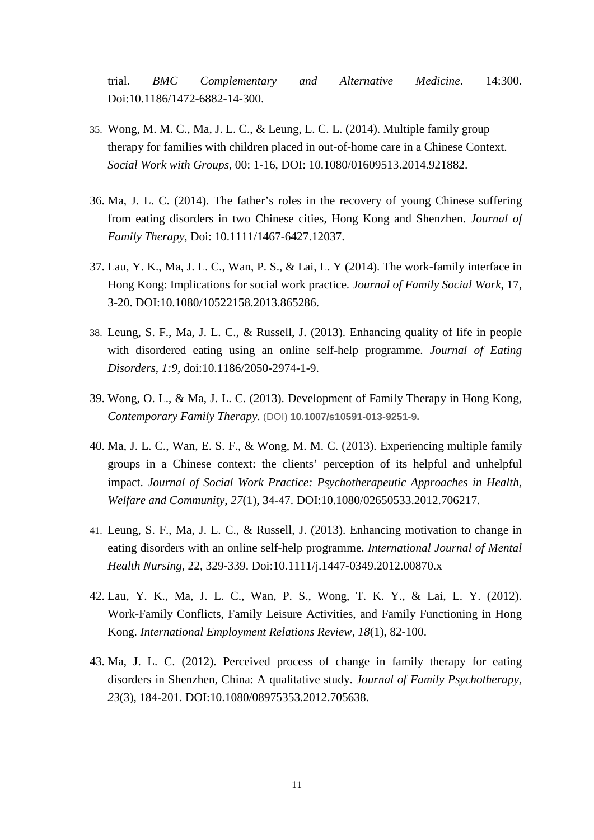trial. *BMC Complementary and Alternative Medicine*. 14:300. Doi:10.1186/1472-6882-14-300.

- 35. Wong, M. M. C., Ma, J. L. C., & Leung, L. C. L. (2014). Multiple family group therapy for families with children placed in out-of-home care in a Chinese Context. *Social Work with Groups*, 00: 1-16, DOI: 10.1080/01609513.2014.921882.
- 36. Ma, J. L. C. (2014). The father's roles in the recovery of young Chinese suffering from eating disorders in two Chinese cities, Hong Kong and Shenzhen. *Journal of Family Therapy*, Doi: 10.1111/1467-6427.12037.
- 37. Lau, Y. K., Ma, J. L. C., Wan, P. S., & Lai, L. Y (2014). The work-family interface in Hong Kong: Implications for social work practice. *Journal of Family Social Work*, 17, 3-20. DOI:10.1080/10522158.2013.865286.
- 38. Leung, S. F., Ma, J. L. C., & Russell, J. (2013). Enhancing quality of life in people with disordered eating using an online self-help programme. *Journal of Eating Disorders*, *1:9,* doi:10.1186/2050-2974-1-9.
- 39. Wong, O. L., & Ma, J. L. C. (2013). Development of Family Therapy in Hong Kong, *Contemporary Family Therapy*. (DOI) **10.1007/s10591-013-9251-9.**
- 40. Ma, J. L. C., Wan, E. S. F., & Wong, M. M. C. (2013). Experiencing multiple family groups in a Chinese context: the clients' perception of its helpful and unhelpful impact. *Journal of Social Work Practice: Psychotherapeutic Approaches in Health, Welfare and Community*, *27*(1), 34-47. DOI:10.1080/02650533.2012.706217.
- 41. Leung, S. F., Ma, J. L. C., & Russell, J. (2013). Enhancing motivation to change in eating disorders with an online self-help programme. *International Journal of Mental Health Nursing*, 22, 329-339. Doi:10.1111/j.1447-0349.2012.00870.x
- 42. Lau, Y. K., Ma, J. L. C., Wan, P. S., Wong, T. K. Y., & Lai, L. Y. (2012). Work-Family Conflicts, Family Leisure Activities, and Family Functioning in Hong Kong. *International Employment Relations Review*, *18*(1), 82-100.
- 43. Ma, J. L. C. (2012). Perceived process of change in family therapy for eating disorders in Shenzhen, China: A qualitative study. *Journal of Family Psychotherapy, 23*(3), 184-201. DOI:10.1080/08975353.2012.705638.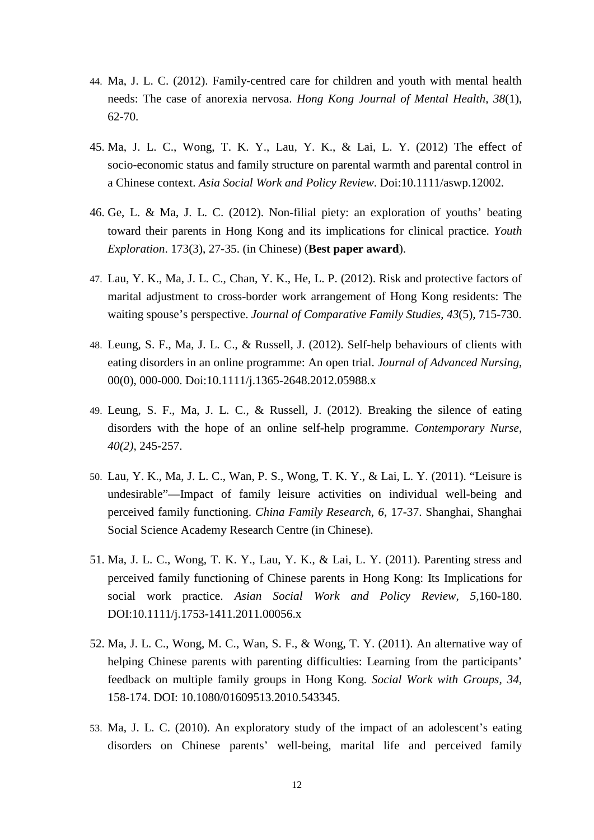- 44. Ma, J. L. C. (2012). Family-centred care for children and youth with mental health needs: The case of anorexia nervosa. *Hong Kong Journal of Mental Health*, *38*(1), 62-70.
- 45. Ma, J. L. C., Wong, T. K. Y., Lau, Y. K., & Lai, L. Y. (2012) The effect of socio-economic status and family structure on parental warmth and parental control in a Chinese context. *Asia Social Work and Policy Review*. Doi:10.1111/aswp.12002.
- 46. Ge, L. & Ma, J. L. C. (2012). Non-filial piety: an exploration of youths' beating toward their parents in Hong Kong and its implications for clinical practice. *Youth Exploration*. 173(3), 27-35. (in Chinese) (**Best paper award**).
- 47. Lau, Y. K., Ma, J. L. C., Chan, Y. K., He, L. P. (2012). Risk and protective factors of marital adjustment to cross-border work arrangement of Hong Kong residents: The waiting spouse's perspective. *Journal of Comparative Family Studies*, *43*(5), 715-730.
- 48. Leung, S. F., Ma, J. L. C., & Russell, J. (2012). Self-help behaviours of clients with eating disorders in an online programme: An open trial. *Journal of Advanced Nursing*, 00(0), 000-000. Doi:10.1111/j.1365-2648.2012.05988.x
- 49. Leung, S. F., Ma, J. L. C., & Russell, J. (2012). Breaking the silence of eating disorders with the hope of an online self-help programme. *Contemporary Nurse*, *40(2)*, 245-257.
- 50. Lau, Y. K., Ma, J. L. C., Wan, P. S., Wong, T. K. Y., & Lai, L. Y. (2011). "Leisure is undesirable"—Impact of family leisure activities on individual well-being and perceived family functioning. *China Family Research*, *6*, 17-37. Shanghai, Shanghai Social Science Academy Research Centre (in Chinese).
- 51. Ma, J. L. C., Wong, T. K. Y., Lau, Y. K., & Lai, L. Y. (2011). Parenting stress and perceived family functioning of Chinese parents in Hong Kong: Its Implications for social work practice. *Asian Social Work and Policy Review, 5,*160-180. DOI:10.1111/j.1753-1411.2011.00056.x
- 52. Ma, J. L. C., Wong, M. C., Wan, S. F., & Wong, T. Y. (2011). An alternative way of helping Chinese parents with parenting difficulties: Learning from the participants' feedback on multiple family groups in Hong Kong. *Social Work with Groups*, *34*, 158-174. DOI: 10.1080/01609513.2010.543345.
- 53. Ma, J. L. C. (2010). An exploratory study of the impact of an adolescent's eating disorders on Chinese parents' well-being, marital life and perceived family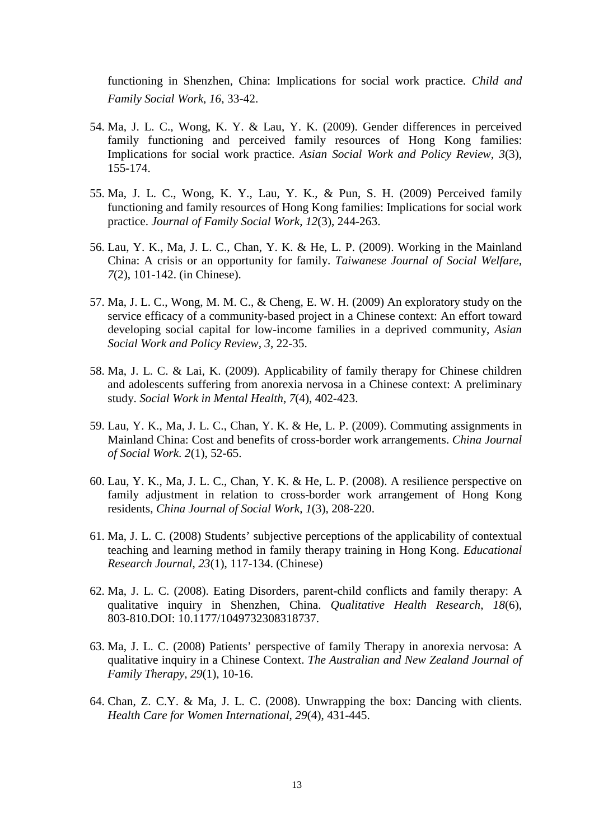functioning in Shenzhen, China: Implications for social work practice. *Child and Family Social Work*, *16*, 33-42.

- 54. Ma, J. L. C., Wong, K. Y. & Lau, Y. K. (2009). Gender differences in perceived family functioning and perceived family resources of Hong Kong families: Implications for social work practice. *Asian Social Work and Policy Review*, *3*(3), 155-174.
- 55. Ma, J. L. C., Wong, K. Y., Lau, Y. K., & Pun, S. H. (2009) Perceived family functioning and family resources of Hong Kong families: Implications for social work practice. *Journal of Family Social Work*, *12*(3), 244-263.
- 56. Lau, Y. K., Ma, J. L. C., Chan, Y. K. & He, L. P. (2009). Working in the Mainland China: A crisis or an opportunity for family. *Taiwanese Journal of Social Welfare*, *7*(2), 101-142. (in Chinese).
- 57. Ma, J. L. C., Wong, M. M. C., & Cheng, E. W. H. (2009) An exploratory study on the service efficacy of a community-based project in a Chinese context: An effort toward developing social capital for low-income families in a deprived community, *Asian Social Work and Policy Review, 3*, 22-35.
- 58. Ma, J. L. C. & Lai, K. (2009). Applicability of family therapy for Chinese children and adolescents suffering from anorexia nervosa in a Chinese context: A preliminary study. *Social Work in Mental Health*, *7*(4), 402-423.
- 59. Lau, Y. K., Ma, J. L. C., Chan, Y. K. & He, L. P. (2009). Commuting assignments in Mainland China: Cost and benefits of cross-border work arrangements. *China Journal of Social Work*. *2*(1), 52-65.
- 60. Lau, Y. K., Ma, J. L. C., Chan, Y. K. & He, L. P. (2008). A resilience perspective on family adjustment in relation to cross-border work arrangement of Hong Kong residents, *China Journal of Social Work*, *1*(3), 208-220.
- 61. Ma, J. L. C. (2008) Students' subjective perceptions of the applicability of contextual teaching and learning method in family therapy training in Hong Kong. *Educational Research Journal*, *23*(1), 117-134. (Chinese)
- 62. Ma, J. L. C. (2008). Eating Disorders, parent-child conflicts and family therapy: A qualitative inquiry in Shenzhen, China. *Qualitative Health Research*, *18*(6), 803-810.DOI: 10.1177/1049732308318737.
- 63. Ma, J. L. C. (2008) Patients' perspective of family Therapy in anorexia nervosa: A qualitative inquiry in a Chinese Context. *The Australian and New Zealand Journal of Family Therapy, 29*(1), 10-16.
- 64. Chan, Z. C.Y. & Ma, J. L. C. (2008). Unwrapping the box: Dancing with clients. *Health Care for Women International*, *29*(4), 431-445.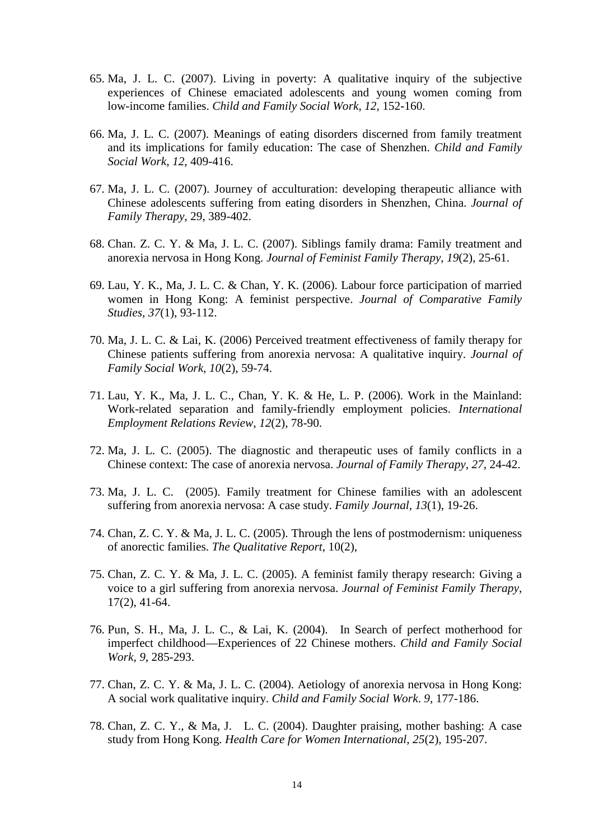- 65. Ma, J. L. C. (2007). Living in poverty: A qualitative inquiry of the subjective experiences of Chinese emaciated adolescents and young women coming from low-income families. *Child and Family Social Work*, *12*, 152-160.
- 66. Ma, J. L. C. (2007). Meanings of eating disorders discerned from family treatment and its implications for family education: The case of Shenzhen. *Child and Family Social Work*, *12*, 409-416.
- 67. Ma, J. L. C. (2007). Journey of acculturation: developing therapeutic alliance with Chinese adolescents suffering from eating disorders in Shenzhen, China. *Journal of Family Therapy*, 29, 389-402.
- 68. Chan. Z. C. Y. & Ma, J. L. C. (2007). Siblings family drama: Family treatment and anorexia nervosa in Hong Kong. *Journal of Feminist Family Therapy*, *19*(2), 25-61.
- 69. Lau, Y. K., Ma, J. L. C. & Chan, Y. K. (2006). Labour force participation of married women in Hong Kong: A feminist perspective. *Journal of Comparative Family Studies*, *37*(1), 93-112.
- 70. Ma, J. L. C. & Lai, K. (2006) Perceived treatment effectiveness of family therapy for Chinese patients suffering from anorexia nervosa: A qualitative inquiry. *Journal of Family Social Work, 10*(2), 59-74.
- 71. Lau, Y. K., Ma, J. L. C., Chan, Y. K. & He, L. P. (2006). Work in the Mainland: Work-related separation and family-friendly employment policies. *International Employment Relations Review*, *12*(2), 78-90.
- 72. Ma, J. L. C. (2005). The diagnostic and therapeutic uses of family conflicts in a Chinese context: The case of anorexia nervosa. *Journal of Family Therapy*, *27*, 24-42.
- 73. Ma, J. L. C. (2005). Family treatment for Chinese families with an adolescent suffering from anorexia nervosa: A case study. *Family Journal*, *13*(1), 19-26.
- 74. Chan, Z. C. Y. & Ma, J. L. C. (2005). Through the lens of postmodernism: uniqueness of anorectic families. *The Qualitative Report*, 10(2),
- 75. Chan, Z. C. Y. & Ma, J. L. C. (2005). A feminist family therapy research: Giving a voice to a girl suffering from anorexia nervosa. *Journal of Feminist Family Therapy*, 17(2), 41-64.
- 76. Pun, S. H., Ma, J. L. C., & Lai, K. (2004). In Search of perfect motherhood for imperfect childhood—Experiences of 22 Chinese mothers. *Child and Family Social Work*, *9*, 285-293.
- 77. Chan, Z. C. Y. & Ma, J. L. C. (2004). Aetiology of anorexia nervosa in Hong Kong: A social work qualitative inquiry. *Child and Family Social Work*. *9*, 177-186.
- 78. Chan, Z. C. Y., & Ma, J. L. C. (2004). Daughter praising, mother bashing: A case study from Hong Kong. *Health Care for Women International*, *25*(2), 195-207.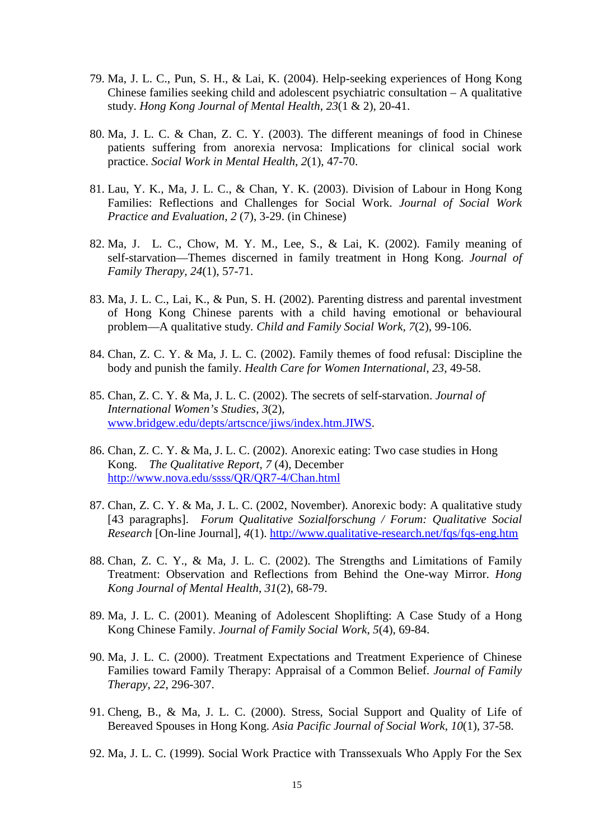- 79. Ma, J. L. C., Pun, S. H., & Lai, K. (2004). Help-seeking experiences of Hong Kong Chinese families seeking child and adolescent psychiatric consultation – A qualitative study. *Hong Kong Journal of Mental Health*, *23*(1 & 2), 20-41.
- 80. Ma, J. L. C. & Chan, Z. C. Y. (2003). The different meanings of food in Chinese patients suffering from anorexia nervosa: Implications for clinical social work practice. *Social Work in Mental Health*, *2*(1), 47-70.
- 81. Lau, Y. K., Ma, J. L. C., & Chan, Y. K. (2003). Division of Labour in Hong Kong Families: Reflections and Challenges for Social Work. *Journal of Social Work Practice and Evaluation*, *2* (7), 3-29. (in Chinese)
- 82. Ma, J. L. C., Chow, M. Y. M., Lee, S., & Lai, K. (2002). Family meaning of self-starvation—Themes discerned in family treatment in Hong Kong. *Journal of Family Therapy, 24*(1), 57-71.
- 83. Ma, J. L. C., Lai, K., & Pun, S. H. (2002). Parenting distress and parental investment of Hong Kong Chinese parents with a child having emotional or behavioural problem—A qualitative study*. Child and Family Social Work*, *7*(2), 99-106.
- 84. Chan, Z. C. Y. & Ma, J. L. C. (2002). Family themes of food refusal: Discipline the body and punish the family. *Health Care for Women International*, *23*, 49-58.
- 85. Chan, Z. C. Y. & Ma, J. L. C. (2002). The secrets of self-starvation. *Journal of International Women's Studies*, *3*(2), [www.bridgew.edu/depts/artscnce/jiws/index.htm.JIWS.](http://www.bridgew.edu/depts/artscnce/jiws/index.htm.JIWS)
- 86. Chan, Z. C. Y. & Ma, J. L. C. (2002). Anorexic eating: Two case studies in Hong Kong. *The Qualitative Report*, *7* (4), December <http://www.nova.edu/ssss/QR/QR7-4/Chan.html>
- 87. Chan, Z. C. Y. & Ma, J. L. C. (2002, November). Anorexic body: A qualitative study [43 paragraphs]. *Forum Qualitative Sozialforschung / Forum: Qualitative Social Research* [On-line Journal], *4*(1).<http://www.qualitative-research.net/fqs/fqs-eng.htm>
- 88. Chan, Z. C. Y., & Ma, J. L. C. (2002). The Strengths and Limitations of Family Treatment: Observation and Reflections from Behind the One-way Mirror. *Hong Kong Journal of Mental Health*, *31*(2), 68-79.
- 89. Ma, J. L. C. (2001). Meaning of Adolescent Shoplifting: A Case Study of a Hong Kong Chinese Family. *Journal of Family Social Work*, *5*(4), 69-84.
- 90. Ma, J. L. C. (2000). Treatment Expectations and Treatment Experience of Chinese Families toward Family Therapy: Appraisal of a Common Belief. *Journal of Family Therapy*, *22*, 296-307.
- 91. Cheng, B., & Ma, J. L. C. (2000). Stress, Social Support and Quality of Life of Bereaved Spouses in Hong Kong. *Asia Pacific Journal of Social Work*, *10*(1), 37-58.
- 92. Ma, J. L. C. (1999). Social Work Practice with Transsexuals Who Apply For the Sex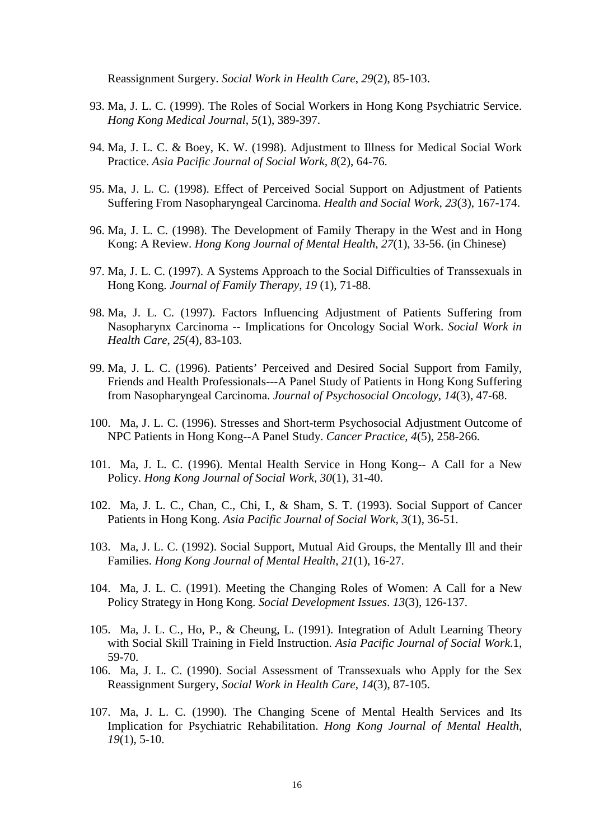Reassignment Surgery. *Social Work in Health Care*, *29*(2), 85-103.

- 93. Ma, J. L. C. (1999). The Roles of Social Workers in Hong Kong Psychiatric Service. *Hong Kong Medical Journal*, *5*(1), 389-397.
- 94. Ma, J. L. C. & Boey, K. W. (1998). Adjustment to Illness for Medical Social Work Practice. *Asia Pacific Journal of Social Work, 8*(2), 64-76.
- 95. Ma, J. L. C. (1998). Effect of Perceived Social Support on Adjustment of Patients Suffering From Nasopharyngeal Carcinoma. *Health and Social Work, 23*(3), 167-174.
- 96. Ma, J. L. C. (1998). The Development of Family Therapy in the West and in Hong Kong: A Review. *Hong Kong Journal of Mental Health*, *27*(1), 33-56. (in Chinese)
- 97. Ma, J. L. C. (1997). A Systems Approach to the Social Difficulties of Transsexuals in Hong Kong. *Journal of Family Therapy*, *19* (1), 71-88.
- 98. Ma, J. L. C. (1997). Factors Influencing Adjustment of Patients Suffering from Nasopharynx Carcinoma -- Implications for Oncology Social Work. *Social Work in Health Care*, *25*(4), 83-103.
- 99. Ma, J. L. C. (1996). Patients' Perceived and Desired Social Support from Family, Friends and Health Professionals---A Panel Study of Patients in Hong Kong Suffering from Nasopharyngeal Carcinoma. *Journal of Psychosocial Oncology*, *14*(3), 47-68.
- 100. Ma, J. L. C. (1996). Stresses and Short-term Psychosocial Adjustment Outcome of NPC Patients in Hong Kong--A Panel Study. *Cancer Practice*, *4*(5), 258-266.
- 101. Ma, J. L. C. (1996). Mental Health Service in Hong Kong-- A Call for a New Policy. *Hong Kong Journal of Social Work*, *30*(1), 31-40.
- 102. Ma, J. L. C., Chan, C., Chi, I., & Sham, S. T. (1993). Social Support of Cancer Patients in Hong Kong. *Asia Pacific Journal of Social Work*, *3*(1), 36-51.
- 103. Ma, J. L. C. (1992). Social Support, Mutual Aid Groups, the Mentally Ill and their Families. *Hong Kong Journal of Mental Health*, *21*(1), 16-27.
- 104. Ma, J. L. C. (1991). Meeting the Changing Roles of Women: A Call for a New Policy Strategy in Hong Kong. *Social Development Issues*. *13*(3), 126-137.
- 105. Ma, J. L. C., Ho, P., & Cheung, L. (1991). Integration of Adult Learning Theory with Social Skill Training in Field Instruction. *Asia Pacific Journal of Social Work*.1, 59-70.
- 106. Ma, J. L. C. (1990). Social Assessment of Transsexuals who Apply for the Sex Reassignment Surgery, *Social Work in Health Care*, *14*(3), 87-105.
- 107. Ma, J. L. C. (1990). The Changing Scene of Mental Health Services and Its Implication for Psychiatric Rehabilitation. *Hong Kong Journal of Mental Health*, *19*(1), 5-10.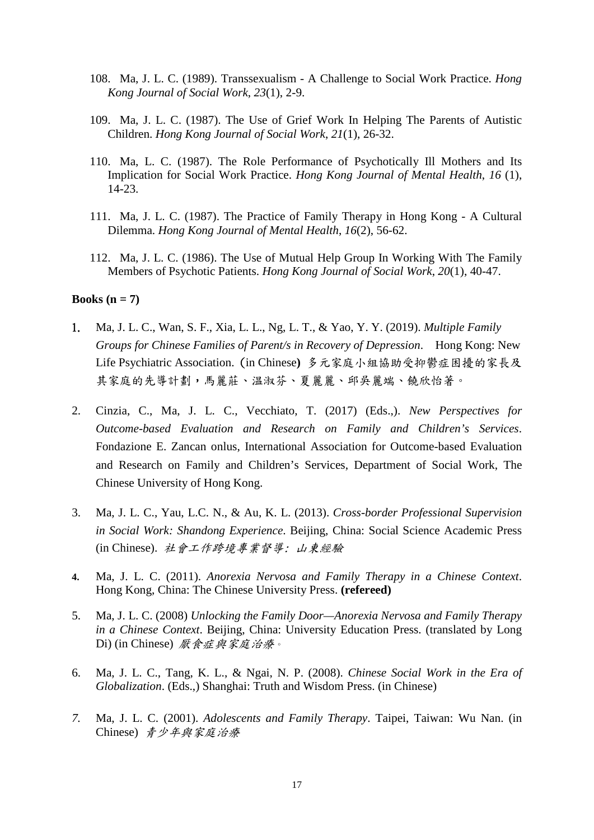- 108. Ma, J. L. C. (1989). Transsexualism A Challenge to Social Work Practice. *Hong Kong Journal of Social Work*, *23*(1), 2-9.
- 109. Ma, J. L. C. (1987). The Use of Grief Work In Helping The Parents of Autistic Children. *Hong Kong Journal of Social Work*, *21*(1), 26-32.
- 110. Ma, L. C. (1987). The Role Performance of Psychotically Ill Mothers and Its Implication for Social Work Practice. *Hong Kong Journal of Mental Health*, *16* (1), 14-23.
- 111. Ma, J. L. C. (1987). The Practice of Family Therapy in Hong Kong A Cultural Dilemma. *Hong Kong Journal of Mental Health*, *16*(2), 56-62.
- 112. Ma, J. L. C. (1986). The Use of Mutual Help Group In Working With The Family Members of Psychotic Patients. *Hong Kong Journal of Social Work*, *20*(1), 40-47.

#### **Books (n = 7)**

- 1. Ma, J. L. C., Wan, S. F., Xia, L. L., Ng, L. T., & Yao, Y. Y. (2019). *Multiple Family Groups for Chinese Families of Parent/s in Recovery of Depression*. Hong Kong: New Life Psychiatric Association. (in Chinese**)** 多元家庭小組協助受抑鬱症困擾的家長及 其家庭的先導計劃,馬麗莊、温淑芬、夏麗麗、邱吳麗端、饒欣怡著。
- 2. Cinzia, C., Ma, J. L. C., Vecchiato, T. (2017) (Eds.,). *New Perspectives for Outcome-based Evaluation and Research on Family and Children's Services*. Fondazione E. Zancan onlus, International Association for Outcome-based Evaluation and Research on Family and Children's Services, Department of Social Work, The Chinese University of Hong Kong.
- 3. Ma, J. L. C., Yau, L.C. N., & Au, K. L. (2013). *Cross-border Professional Supervision in Social Work: Shandong Experience*. Beijing, China: Social Science Academic Press (in Chinese). 社會工作跨境專業督導: 山東經驗
- **4.** Ma, J. L. C. (2011). *Anorexia Nervosa and Family Therapy in a Chinese Context*. Hong Kong, China: The Chinese University Press. **(refereed)**
- 5. Ma, J. L. C. (2008) *Unlocking the Family Door—Anorexia Nervosa and Family Therapy in a Chinese Context*. Beijing, China: University Education Press. (translated by Long Di) (in Chinese) 厭食症與家庭治療。
- 6. Ma, J. L. C., Tang, K. L., & Ngai, N. P. (2008). *Chinese Social Work in the Era of Globalization*. (Eds.,) Shanghai: Truth and Wisdom Press. (in Chinese)
- *7.* Ma, J. L. C. (2001). *Adolescents and Family Therapy*. Taipei, Taiwan: Wu Nan. (in Chinese) 青少年與家庭治療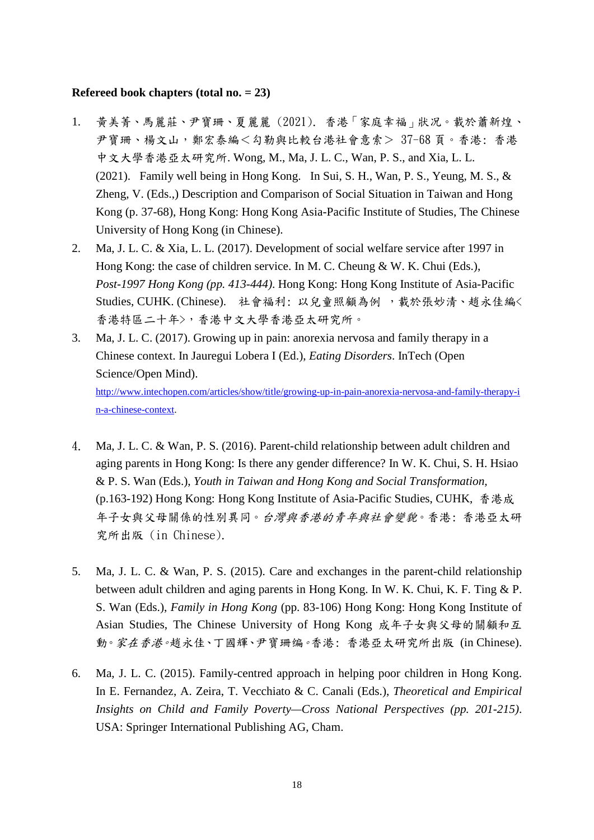#### **Refereed book chapters (total no. = 23)**

- 1. 黃美菁、馬麗莊、尹寶珊、夏麗麗 (2021). 香港「家庭幸福」狀况。載於蕭新煌、 尹寶珊、楊文山,鄭宏泰編<勾勒與比較台港社會意索> 37-68 頁。香港: 香港 中文大學香港亞太研究所. Wong, M., Ma, J. L. C., Wan, P. S., and Xia, L. L. (2021). Family well being in Hong Kong. In Sui, S. H., Wan, P. S., Yeung, M. S., & Zheng, V. (Eds.,) Description and Comparison of Social Situation in Taiwan and Hong Kong (p. 37-68), Hong Kong: Hong Kong Asia-Pacific Institute of Studies, The Chinese University of Hong Kong (in Chinese).
- 2. Ma, J. L. C. & Xia, L. L. (2017). Development of social welfare service after 1997 in Hong Kong: the case of children service. In M. C. Cheung & W. K. Chui (Eds.), *Post-1997 Hong Kong (pp. 413-444)*. Hong Kong: Hong Kong Institute of Asia-Pacific Studies, CUHK. (Chinese). 社會福利: 以兒童照顧為例, 載於張妙清、趙永佳編く 香港特區二十年>,香港中文大學香港亞太研究所。
- 3. Ma, J. L. C. (2017). Growing up in pain: anorexia nervosa and family therapy in a Chinese context. In Jauregui Lobera I (Ed.), *Eating Disorders*. InTech (Open Science/Open Mind).

[http://www.intechopen.com/articles/show/title/growing-up-in-pain-anorexia-nervosa-and-family-therapy-i](http://www.intechopen.com/articles/show/title/growing-up-in-pain-anorexia-nervosa-and-family-therapy-in-a-chinese-context) [n-a-chinese-context.](http://www.intechopen.com/articles/show/title/growing-up-in-pain-anorexia-nervosa-and-family-therapy-in-a-chinese-context)

- 4. Ma, J. L. C. & Wan, P. S. (2016). Parent-child relationship between adult children and aging parents in Hong Kong: Is there any gender difference? In W. K. Chui, S. H. Hsiao & P. S. Wan (Eds.), *Youth in Taiwan and Hong Kong and Social Transformation,*  (p.163-192) Hong Kong: Hong Kong Institute of Asia-Pacific Studies, CUHK, 香港成 年子女與父母關係的性別異同。台灣與香港的青年與社會變貌。香港: 香港亞太研 究所出版 (in Chinese).
- 5. Ma, J. L. C. & Wan, P. S. (2015). Care and exchanges in the parent-child relationship between adult children and aging parents in Hong Kong. In W. K. Chui, K. F. Ting & P. S. Wan (Eds.), *Family in Hong Kong* (pp. 83-106) Hong Kong: Hong Kong Institute of Asian Studies, The Chinese University of Hong Kong 成年子女與父母的關顧和互 動。家在香港。趙永佳、丁國輝、尹寶珊编。香港: 香港亞太研究所出版 (in Chinese).
- 6. Ma, J. L. C. (2015). Family-centred approach in helping poor children in Hong Kong. In E. Fernandez, A. Zeira, T. Vecchiato & C. Canali (Eds.), *Theoretical and Empirical Insights on Child and Family Poverty—Cross National Perspectives (pp. 201-215)*. USA: Springer International Publishing AG, Cham.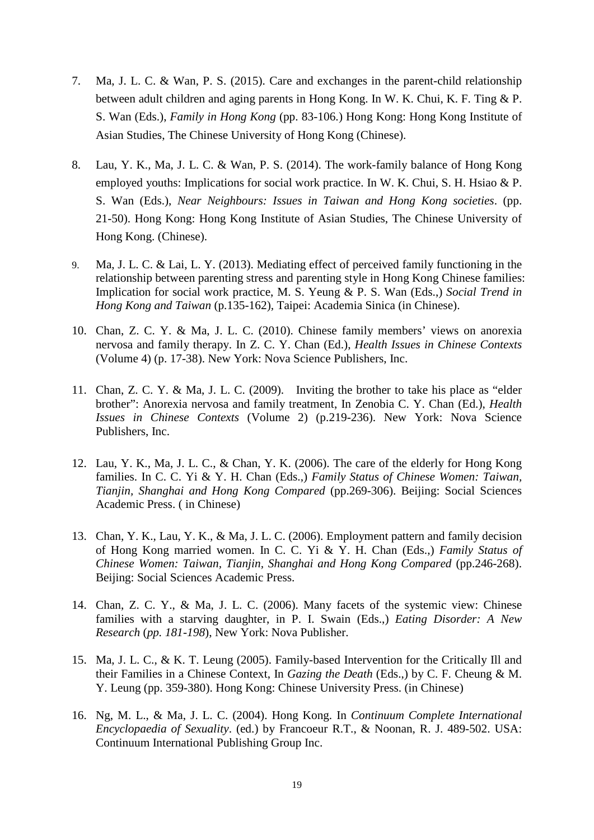- 7. Ma, J. L. C. & Wan, P. S. (2015). Care and exchanges in the parent-child relationship between adult children and aging parents in Hong Kong. In W. K. Chui, K. F. Ting & P. S. Wan (Eds.), *Family in Hong Kong* (pp. 83-106.) Hong Kong: Hong Kong Institute of Asian Studies, The Chinese University of Hong Kong (Chinese).
- 8. Lau, Y. K., Ma, J. L. C. & Wan, P. S. (2014). The work-family balance of Hong Kong employed youths: Implications for social work practice. In W. K. Chui, S. H. Hsiao & P. S. Wan (Eds.), *Near Neighbours: Issues in Taiwan and Hong Kong societies*. (pp. 21-50). Hong Kong: Hong Kong Institute of Asian Studies, The Chinese University of Hong Kong. (Chinese).
- 9. Ma, J. L. C. & Lai, L. Y. (2013). Mediating effect of perceived family functioning in the relationship between parenting stress and parenting style in Hong Kong Chinese families: Implication for social work practice, M. S. Yeung & P. S. Wan (Eds.,) *Social Trend in Hong Kong and Taiwan* (p.135-162)*,* Taipei: Academia Sinica (in Chinese).
- 10. Chan, Z. C. Y. & Ma, J. L. C. (2010). Chinese family members' views on anorexia nervosa and family therapy. In Z. C. Y. Chan (Ed.), *Health Issues in Chinese Contexts* (Volume 4) (p. 17-38). New York: Nova Science Publishers, Inc.
- 11. Chan, Z. C. Y. & Ma, J. L. C. (2009). Inviting the brother to take his place as "elder brother": Anorexia nervosa and family treatment, In Zenobia C. Y. Chan (Ed.), *Health Issues in Chinese Contexts* (Volume 2) (p.219-236). New York: Nova Science Publishers, Inc.
- 12. Lau, Y. K., Ma, J. L. C., & Chan, Y. K. (2006). The care of the elderly for Hong Kong families. In C. C. Yi & Y. H. Chan (Eds.,) *Family Status of Chinese Women: Taiwan, Tianjin, Shanghai and Hong Kong Compared* (pp.269-306). Beijing: Social Sciences Academic Press. ( in Chinese)
- 13. Chan, Y. K., Lau, Y. K., & Ma, J. L. C. (2006). Employment pattern and family decision of Hong Kong married women. In C. C. Yi & Y. H. Chan (Eds.,) *Family Status of Chinese Women: Taiwan, Tianjin, Shanghai and Hong Kong Compared* (pp.246-268). Beijing: Social Sciences Academic Press.
- 14. Chan, Z. C. Y., & Ma, J. L. C. (2006). Many facets of the systemic view: Chinese families with a starving daughter, in P. I. Swain (Eds.,) *Eating Disorder: A New Research* (*pp. 181-198*), New York: Nova Publisher.
- 15. Ma, J. L. C., & K. T. Leung (2005). Family-based Intervention for the Critically Ill and their Families in a Chinese Context, In *Gazing the Death* (Eds.,) by C. F. Cheung & M. Y. Leung (pp. 359-380). Hong Kong: Chinese University Press. (in Chinese)
- 16. Ng, M. L., & Ma, J. L. C. (2004). Hong Kong. In *Continuum Complete International Encyclopaedia of Sexuality*. (ed.) by Francoeur R.T., & Noonan, R. J. 489-502. USA: Continuum International Publishing Group Inc.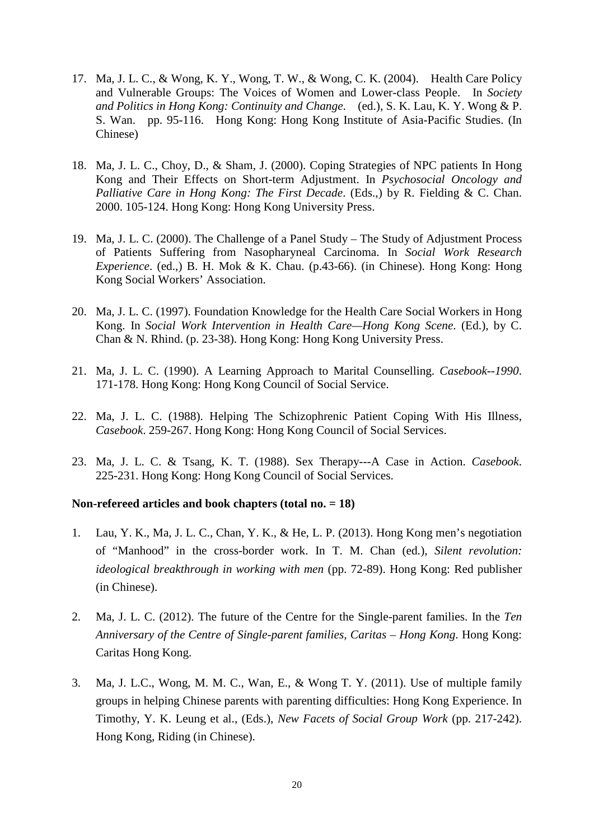- 17. Ma, J. L. C., & Wong, K. Y., Wong, T. W., & Wong, C. K. (2004). Health Care Policy and Vulnerable Groups: The Voices of Women and Lower-class People. In *Society and Politics in Hong Kong: Continuity and Change*. (ed.), S. K. Lau, K. Y. Wong & P. S. Wan. pp. 95-116. Hong Kong: Hong Kong Institute of Asia-Pacific Studies. (In Chinese)
- 18. Ma, J. L. C., Choy, D., & Sham, J. (2000). Coping Strategies of NPC patients In Hong Kong and Their Effects on Short-term Adjustment. In *Psychosocial Oncology and Palliative Care in Hong Kong: The First Decade*. (Eds.,) by R. Fielding & C. Chan. 2000. 105-124. Hong Kong: Hong Kong University Press.
- 19. Ma, J. L. C. (2000). The Challenge of a Panel Study The Study of Adjustment Process of Patients Suffering from Nasopharyneal Carcinoma. In *Social Work Research Experience*. (ed.,) B. H. Mok & K. Chau. (p.43-66). (in Chinese). Hong Kong: Hong Kong Social Workers' Association.
- 20. Ma, J. L. C. (1997). Foundation Knowledge for the Health Care Social Workers in Hong Kong. In *Social Work Intervention in Health Care—Hong Kong Scene*. (Ed.), by C. Chan & N. Rhind. (p. 23-38). Hong Kong: Hong Kong University Press.
- 21. Ma, J. L. C. (1990). A Learning Approach to Marital Counselling. *Casebook--1990*. 171-178. Hong Kong: Hong Kong Council of Social Service.
- 22. Ma, J. L. C. (1988). Helping The Schizophrenic Patient Coping With His Illness, *Casebook*. 259-267. Hong Kong: Hong Kong Council of Social Services.
- 23. Ma, J. L. C. & Tsang, K. T. (1988). Sex Therapy---A Case in Action. *Casebook*. 225-231. Hong Kong: Hong Kong Council of Social Services.

#### **Non-refereed articles and book chapters (total no. = 18)**

- 1. Lau, Y. K., Ma, J. L. C., Chan, Y. K., & He, L. P. (2013). Hong Kong men's negotiation of "Manhood" in the cross-border work. In T. M. Chan (ed.), *Silent revolution: ideological breakthrough in working with men* (pp. 72-89). Hong Kong: Red publisher (in Chinese).
- 2. Ma, J. L. C. (2012). The future of the Centre for the Single-parent families. In the *Ten Anniversary of the Centre of Single-parent families, Caritas – Hong Kong*. Hong Kong: Caritas Hong Kong.
- 3. Ma, J. L.C., Wong, M. M. C., Wan, E., & Wong T. Y. (2011). Use of multiple family groups in helping Chinese parents with parenting difficulties: Hong Kong Experience. In Timothy, Y. K. Leung et al., (Eds.), *New Facets of Social Group Work* (pp. 217-242). Hong Kong, Riding (in Chinese).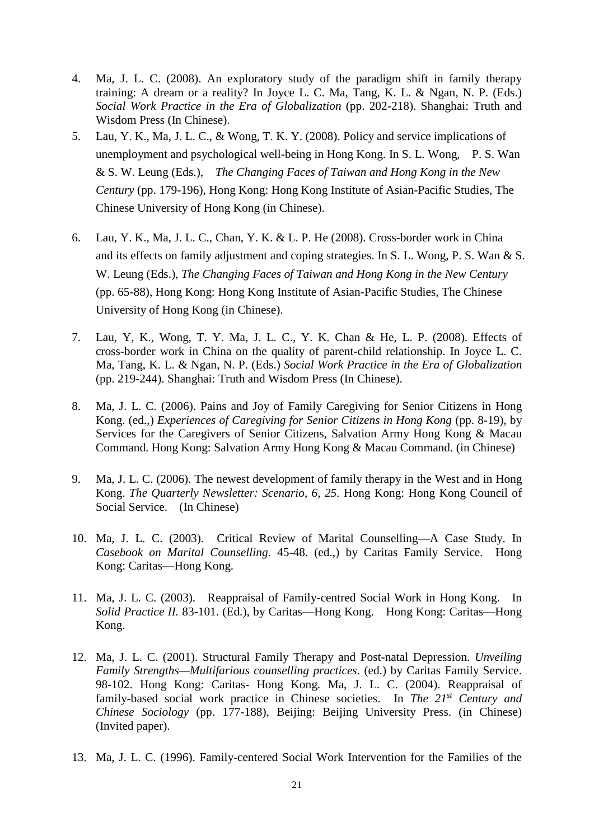- 4. Ma, J. L. C. (2008). An exploratory study of the paradigm shift in family therapy training: A dream or a reality? In Joyce L. C. Ma, Tang, K. L. & Ngan, N. P. (Eds.) *Social Work Practice in the Era of Globalization* (pp. 202-218). Shanghai: Truth and Wisdom Press (In Chinese).
- 5. Lau, Y. K., Ma, J. L. C., & Wong, T. K. Y. (2008). Policy and service implications of unemployment and psychological well-being in Hong Kong. In S. L. Wong, P. S. Wan & S. W. Leung (Eds.), *The Changing Faces of Taiwan and Hong Kong in the New Century* (pp. 179-196), Hong Kong: Hong Kong Institute of Asian-Pacific Studies, The Chinese University of Hong Kong (in Chinese).
- 6. Lau, Y. K., Ma, J. L. C., Chan, Y. K. & L. P. He (2008). Cross-border work in China and its effects on family adjustment and coping strategies. In S. L. Wong, P. S. Wan & S. W. Leung (Eds.), *The Changing Faces of Taiwan and Hong Kong in the New Century* (pp. 65-88), Hong Kong: Hong Kong Institute of Asian-Pacific Studies, The Chinese University of Hong Kong (in Chinese).
- 7. Lau, Y, K., Wong, T. Y. Ma, J. L. C., Y. K. Chan & He, L. P. (2008). Effects of cross-border work in China on the quality of parent-child relationship. In Joyce L. C. Ma, Tang, K. L. & Ngan, N. P. (Eds.) *Social Work Practice in the Era of Globalization* (pp. 219-244). Shanghai: Truth and Wisdom Press (In Chinese).
- 8. Ma, J. L. C. (2006). Pains and Joy of Family Caregiving for Senior Citizens in Hong Kong. (ed.,) *Experiences of Caregiving for Senior Citizens in Hong Kong* (pp. 8-19), by Services for the Caregivers of Senior Citizens, Salvation Army Hong Kong & Macau Command. Hong Kong: Salvation Army Hong Kong & Macau Command. (in Chinese)
- 9. Ma, J. L. C. (2006). The newest development of family therapy in the West and in Hong Kong. *The Quarterly Newsletter: Scenario*, *6, 25.* Hong Kong: Hong Kong Council of Social Service. (In Chinese)
- 10. Ma, J. L. C. (2003). Critical Review of Marital Counselling—A Case Study. In *Casebook on Marital Counselling*. 45-48. (ed.,) by Caritas Family Service. Hong Kong: Caritas—Hong Kong.
- 11. Ma, J. L. C. (2003). Reappraisal of Family-centred Social Work in Hong Kong. In *Solid Practice II.* 83-101. (Ed.), by Caritas—Hong Kong. Hong Kong: Caritas—Hong Kong.
- 12. Ma, J. L. C. (2001). Structural Family Therapy and Post-natal Depression. *Unveiling Family Strengths—Multifarious counselling practices*. (ed.) by Caritas Family Service. 98-102. Hong Kong: Caritas- Hong Kong. Ma, J. L. C. (2004). Reappraisal of family-based social work practice in Chinese societies. In *The 21st Century and Chinese Sociology* (pp. 177-188), Beijing: Beijing University Press. (in Chinese) (Invited paper).
- 13. Ma, J. L. C. (1996). Family-centered Social Work Intervention for the Families of the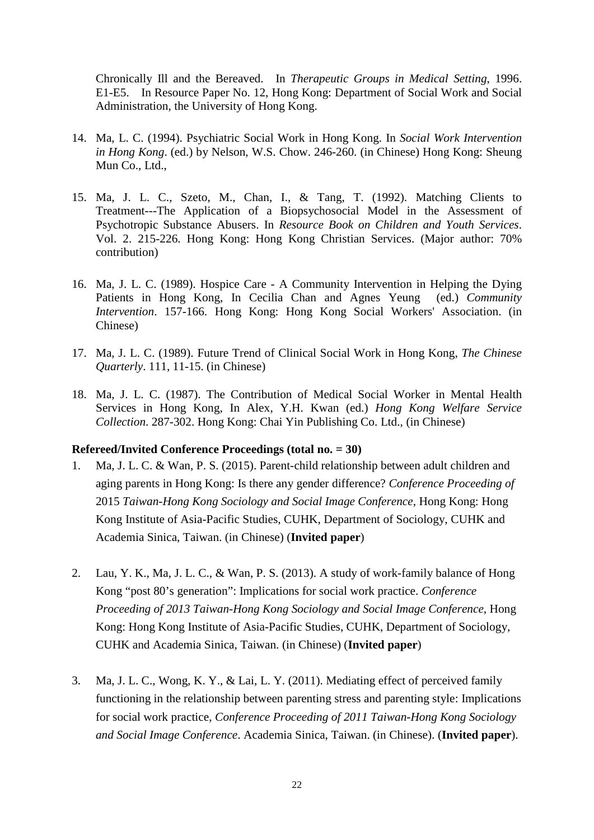Chronically Ill and the Bereaved. In *Therapeutic Groups in Medical Setting*, 1996. E1-E5. In Resource Paper No. 12, Hong Kong: Department of Social Work and Social Administration, the University of Hong Kong.

- 14. Ma, L. C. (1994). Psychiatric Social Work in Hong Kong. In *Social Work Intervention in Hong Kong*. (ed.) by Nelson, W.S. Chow. 246-260. (in Chinese) Hong Kong: Sheung Mun Co., Ltd.,
- 15. Ma, J. L. C., Szeto, M., Chan, I., & Tang, T. (1992). Matching Clients to Treatment---The Application of a Biopsychosocial Model in the Assessment of Psychotropic Substance Abusers. In *Resource Book on Children and Youth Services*. Vol. 2. 215-226. Hong Kong: Hong Kong Christian Services. (Major author: 70% contribution)
- 16. Ma, J. L. C. (1989). Hospice Care A Community Intervention in Helping the Dying Patients in Hong Kong, In Cecilia Chan and Agnes Yeung (ed.) *Community Intervention*. 157-166. Hong Kong: Hong Kong Social Workers' Association. (in Chinese)
- 17. Ma, J. L. C. (1989). Future Trend of Clinical Social Work in Hong Kong, *The Chinese Quarterly*. 111, 11-15. (in Chinese)
- 18. Ma, J. L. C. (1987). The Contribution of Medical Social Worker in Mental Health Services in Hong Kong, In Alex, Y.H. Kwan (ed.) *Hong Kong Welfare Service Collection*. 287-302. Hong Kong: Chai Yin Publishing Co. Ltd., (in Chinese)

#### **Refereed/Invited Conference Proceedings (total no. = 30)**

- 1. Ma, J. L. C. & Wan, P. S. (2015). Parent-child relationship between adult children and aging parents in Hong Kong: Is there any gender difference? *Conference Proceeding of* 2015 *Taiwan-Hong Kong Sociology and Social Image Conference*, Hong Kong: Hong Kong Institute of Asia-Pacific Studies, CUHK, Department of Sociology, CUHK and Academia Sinica, Taiwan. (in Chinese) (**Invited paper**)
- 2. Lau, Y. K., Ma, J. L. C., & Wan, P. S. (2013). A study of work-family balance of Hong Kong "post 80's generation": Implications for social work practice. *Conference Proceeding of 2013 Taiwan-Hong Kong Sociology and Social Image Conference*, Hong Kong: Hong Kong Institute of Asia-Pacific Studies, CUHK, Department of Sociology, CUHK and Academia Sinica, Taiwan. (in Chinese) (**Invited paper**)
- 3. Ma, J. L. C., Wong, K. Y., & Lai, L. Y. (2011). Mediating effect of perceived family functioning in the relationship between parenting stress and parenting style: Implications for social work practice, *Conference Proceeding of 2011 Taiwan-Hong Kong Sociology and Social Image Conference*. Academia Sinica, Taiwan. (in Chinese). (**Invited paper**).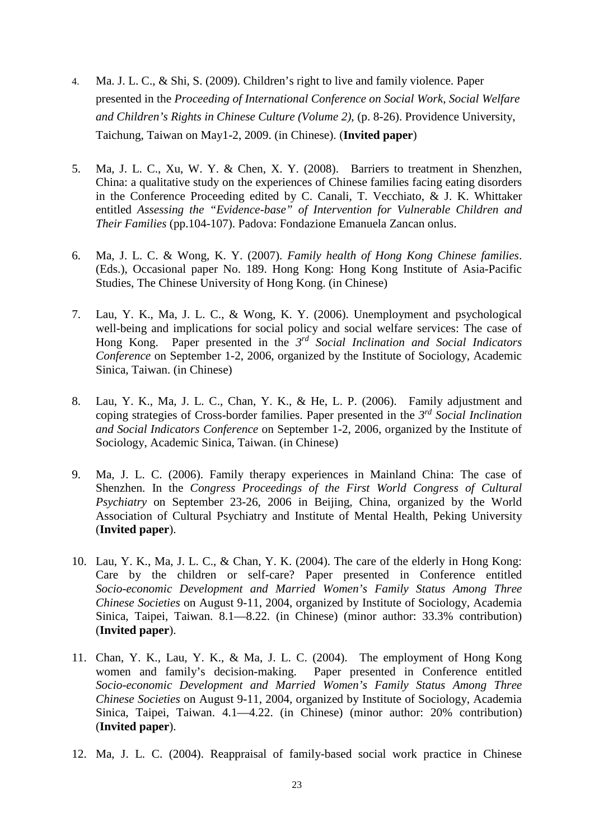- 4. Ma. J. L. C., & Shi, S. (2009). Children's right to live and family violence. Paper presented in the *Proceeding of International Conference on Social Work, Social Welfare and Children's Rights in Chinese Culture (Volume 2)*, (p. 8-26). Providence University, Taichung, Taiwan on May1-2, 2009. (in Chinese). (**Invited paper**)
- 5. Ma, J. L. C., Xu, W. Y. & Chen, X. Y. (2008). Barriers to treatment in Shenzhen, China: a qualitative study on the experiences of Chinese families facing eating disorders in the Conference Proceeding edited by C. Canali, T. Vecchiato, & J. K. Whittaker entitled *Assessing the "Evidence-base" of Intervention for Vulnerable Children and Their Families* (pp.104-107). Padova: Fondazione Emanuela Zancan onlus.
- 6. Ma, J. L. C. & Wong, K. Y. (2007). *Family health of Hong Kong Chinese families*. (Eds.), Occasional paper No. 189. Hong Kong: Hong Kong Institute of Asia-Pacific Studies, The Chinese University of Hong Kong. (in Chinese)
- 7. Lau, Y. K., Ma, J. L. C., & Wong, K. Y. (2006). Unemployment and psychological well-being and implications for social policy and social welfare services: The case of Hong Kong. Paper presented in the *3rd Social Inclination and Social Indicators Conference* on September 1-2, 2006, organized by the Institute of Sociology, Academic Sinica, Taiwan. (in Chinese)
- 8. Lau, Y. K., Ma, J. L. C., Chan, Y. K., & He, L. P. (2006). Family adjustment and coping strategies of Cross-border families. Paper presented in the *3rd Social Inclination and Social Indicators Conference* on September 1-2, 2006, organized by the Institute of Sociology, Academic Sinica, Taiwan. (in Chinese)
- 9. Ma, J. L. C. (2006). Family therapy experiences in Mainland China: The case of Shenzhen. In the *Congress Proceedings of the First World Congress of Cultural Psychiatry* on September 23-26, 2006 in Beijing, China, organized by the World Association of Cultural Psychiatry and Institute of Mental Health, Peking University (**Invited paper**).
- 10. Lau, Y. K., Ma, J. L. C., & Chan, Y. K. (2004). The care of the elderly in Hong Kong: Care by the children or self-care? Paper presented in Conference entitled *Socio-economic Development and Married Women's Family Status Among Three Chinese Societies* on August 9-11, 2004, organized by Institute of Sociology, Academia Sinica, Taipei, Taiwan. 8.1—8.22. (in Chinese) (minor author: 33.3% contribution) (**Invited paper**).
- 11. Chan, Y. K., Lau, Y. K., & Ma, J. L. C. (2004). The employment of Hong Kong women and family's decision-making. Paper presented in Conference entitled *Socio-economic Development and Married Women's Family Status Among Three Chinese Societies* on August 9-11, 2004, organized by Institute of Sociology, Academia Sinica, Taipei, Taiwan. 4.1—4.22. (in Chinese) (minor author: 20% contribution) (**Invited paper**).
- 12. Ma, J. L. C. (2004). Reappraisal of family-based social work practice in Chinese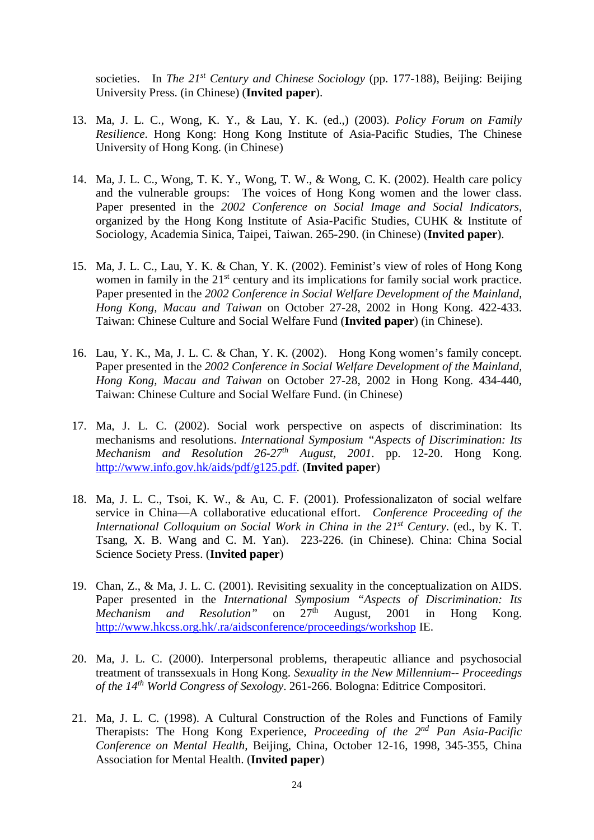societies. In *The 21<sup>st</sup> Century and Chinese Sociology* (pp. 177-188), Beijing: Beijing University Press. (in Chinese) (**Invited paper**).

- 13. Ma, J. L. C., Wong, K. Y., & Lau, Y. K. (ed.,) (2003). *Policy Forum on Family Resilience*. Hong Kong: Hong Kong Institute of Asia-Pacific Studies, The Chinese University of Hong Kong. (in Chinese)
- 14. Ma, J. L. C., Wong, T. K. Y., Wong, T. W., & Wong, C. K. (2002). Health care policy and the vulnerable groups: The voices of Hong Kong women and the lower class. Paper presented in the *2002 Conference on Social Image and Social Indicators*, organized by the Hong Kong Institute of Asia-Pacific Studies, CUHK & Institute of Sociology, Academia Sinica, Taipei, Taiwan. 265-290. (in Chinese) (**Invited paper**).
- 15. Ma, J. L. C., Lau, Y. K. & Chan, Y. K. (2002). Feminist's view of roles of Hong Kong women in family in the 21<sup>st</sup> century and its implications for family social work practice. Paper presented in the *2002 Conference in Social Welfare Development of the Mainland, Hong Kong, Macau and Taiwan* on October 27-28, 2002 in Hong Kong. 422-433. Taiwan: Chinese Culture and Social Welfare Fund (**Invited paper**) (in Chinese).
- 16. Lau, Y. K., Ma, J. L. C. & Chan, Y. K. (2002). Hong Kong women's family concept. Paper presented in the *2002 Conference in Social Welfare Development of the Mainland, Hong Kong, Macau and Taiwan* on October 27-28, 2002 in Hong Kong. 434-440, Taiwan: Chinese Culture and Social Welfare Fund. (in Chinese)
- 17. Ma, J. L. C. (2002). Social work perspective on aspects of discrimination: Its mechanisms and resolutions. *International Symposium "Aspects of Discrimination: Its Mechanism and Resolution 26-27th August, 2001*. pp. 12-20. Hong Kong. [http://www.info.gov.hk/aids/pdf/g125.pdf.](http://www.info.gov.hk/aids/pdf/g125.pdf) (**Invited paper**)
- 18. Ma, J. L. C., Tsoi, K. W., & Au, C. F. (2001). Professionalizaton of social welfare service in China—A collaborative educational effort. *Conference Proceeding of the International Colloquium on Social Work in China in the 21st Century*. (ed., by K. T. Tsang, X. B. Wang and C. M. Yan). 223-226. (in Chinese). China: China Social Science Society Press. (**Invited paper**)
- 19. Chan, Z., & Ma, J. L. C. (2001). Revisiting sexuality in the conceptualization on AIDS. Paper presented in the *International Symposium "Aspects of Discrimination: Its Mechanism and Resolution*" on 27<sup>th</sup> August. 2001 in Hong Kong *Mechanism and Resolution*" on 27<sup>th</sup> August, 2001 in Hong Kong. <http://www.hkcss.org.hk/.ra/aidsconference/proceedings/workshop> IE.
- 20. Ma, J. L. C. (2000). Interpersonal problems, therapeutic alliance and psychosocial treatment of transsexuals in Hong Kong. *Sexuality in the New Millennium-- Proceedings of the 14th World Congress of Sexology*. 261-266. Bologna: Editrice Compositori.
- 21. Ma, J. L. C. (1998). A Cultural Construction of the Roles and Functions of Family Therapists: The Hong Kong Experience, *Proceeding of the 2nd Pan Asia-Pacific Conference on Mental Health,* Beijing, China, October 12-16, 1998, 345-355, China Association for Mental Health. (**Invited paper**)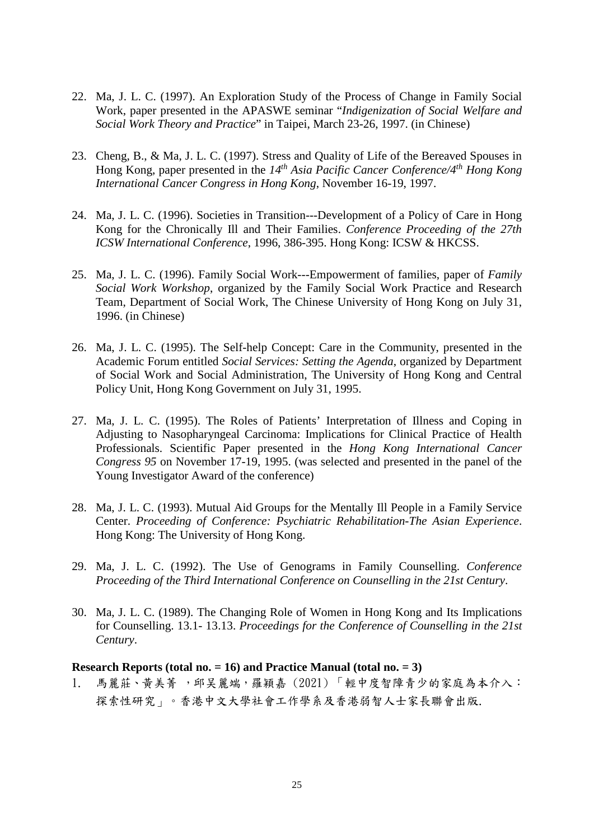- 22. Ma, J. L. C. (1997). An Exploration Study of the Process of Change in Family Social Work, paper presented in the APASWE seminar "*Indigenization of Social Welfare and Social Work Theory and Practice*" in Taipei, March 23-26, 1997. (in Chinese)
- 23. Cheng, B., & Ma, J. L. C. (1997). Stress and Quality of Life of the Bereaved Spouses in Hong Kong, paper presented in the *14th Asia Pacific Cancer Conference/4th Hong Kong International Cancer Congress in Hong Kong*, November 16-19, 1997.
- 24. Ma, J. L. C. (1996). Societies in Transition---Development of a Policy of Care in Hong Kong for the Chronically Ill and Their Families. *Conference Proceeding of the 27th ICSW International Conference*, 1996, 386-395. Hong Kong: ICSW & HKCSS.
- 25. Ma, J. L. C. (1996). Family Social Work---Empowerment of families, paper of *Family Social Work Workshop*, organized by the Family Social Work Practice and Research Team, Department of Social Work, The Chinese University of Hong Kong on July 31, 1996. (in Chinese)
- 26. Ma, J. L. C. (1995). The Self-help Concept: Care in the Community, presented in the Academic Forum entitled *Social Services: Setting the Agenda*, organized by Department of Social Work and Social Administration, The University of Hong Kong and Central Policy Unit, Hong Kong Government on July 31, 1995.
- 27. Ma, J. L. C. (1995). The Roles of Patients' Interpretation of Illness and Coping in Adjusting to Nasopharyngeal Carcinoma: Implications for Clinical Practice of Health Professionals. Scientific Paper presented in the *Hong Kong International Cancer Congress 95* on November 17-19, 1995. (was selected and presented in the panel of the Young Investigator Award of the conference)
- 28. Ma, J. L. C. (1993). Mutual Aid Groups for the Mentally Ill People in a Family Service Center. *Proceeding of Conference: Psychiatric Rehabilitation-The Asian Experience*. Hong Kong: The University of Hong Kong.
- 29. Ma, J. L. C. (1992). The Use of Genograms in Family Counselling. *Conference Proceeding of the Third International Conference on Counselling in the 21st Century*.
- 30. Ma, J. L. C. (1989). The Changing Role of Women in Hong Kong and Its Implications for Counselling. 13.1- 13.13. *Proceedings for the Conference of Counselling in the 21st Century*.

#### **Research Reports (total no. = 16) and Practice Manual (total no. = 3)**

1. 馬麗莊、黃美菁 ,邱吴麗端,羅穎嘉 (2021) 「輕中度智障青少的家庭為本介入: 探索性研究」。香港中文大學社會工作學系及香港弱智人士家長聯會出版.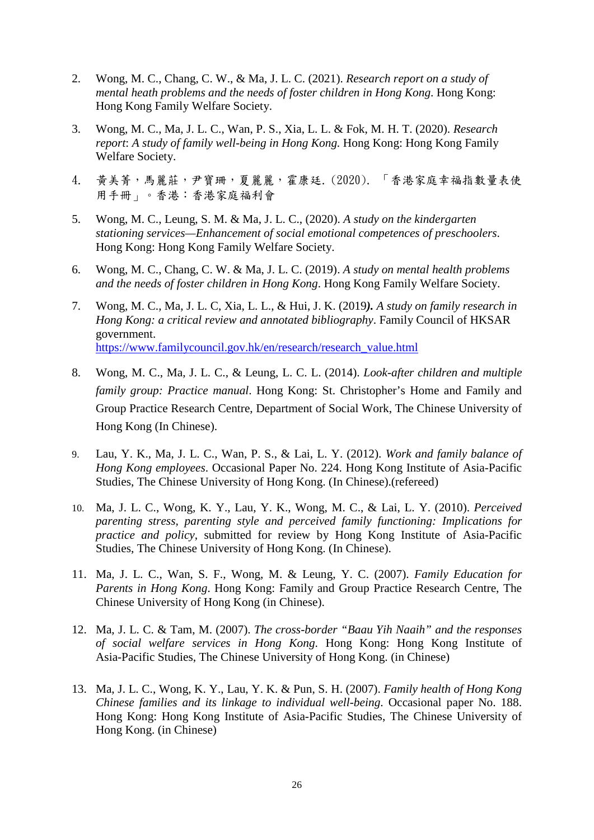- 2. Wong, M. C., Chang, C. W., & Ma, J. L. C. (2021). *Research report on a study of mental heath problems and the needs of foster children in Hong Kong*. Hong Kong: Hong Kong Family Welfare Society.
- 3. Wong, M. C., Ma, J. L. C., Wan, P. S., Xia, L. L. & Fok, M. H. T. (2020). *Research report*: *A study of family well-being in Hong Kong.* Hong Kong: Hong Kong Family Welfare Society.
- 4. 黃美菁,馬麗莊,尹寶珊,夏麗麗,霍康廷. (2020). 「香港家庭幸福指數量表使 用手冊」。香港:香港家庭福利會
- 5. Wong, M. C., Leung, S. M. & Ma, J. L. C., (2020). *A study on the kindergarten stationing services—Enhancement of social emotional competences of preschoolers*. Hong Kong: Hong Kong Family Welfare Society.
- 6. Wong, M. C., Chang, C. W. & Ma, J. L. C. (2019). *A study on mental health problems and the needs of foster children in Hong Kong*. Hong Kong Family Welfare Society.
- 7. Wong, M. C., Ma, J. L. C, Xia, L. L., & Hui, J. K. (2019*). A study on family research in Hong Kong: a critical review and annotated bibliography*. Family Council of HKSAR government. [https://www.familycouncil.gov.hk/en/research/research\\_value.html](https://www.familycouncil.gov.hk/en/research/research_value.html)
- 8. Wong, M. C., Ma, J. L. C., & Leung, L. C. L. (2014). *Look-after children and multiple family group: Practice manual*. Hong Kong: St. Christopher's Home and Family and Group Practice Research Centre, Department of Social Work, The Chinese University of Hong Kong (In Chinese).
- 9. Lau, Y. K., Ma, J. L. C., Wan, P. S., & Lai, L. Y. (2012). *Work and family balance of Hong Kong employees*. Occasional Paper No. 224. Hong Kong Institute of Asia-Pacific Studies, The Chinese University of Hong Kong. (In Chinese).(refereed)
- 10. Ma, J. L. C., Wong, K. Y., Lau, Y. K., Wong, M. C., & Lai, L. Y. (2010). *Perceived parenting stress, parenting style and perceived family functioning: Implications for practice and policy*, submitted for review by Hong Kong Institute of Asia-Pacific Studies, The Chinese University of Hong Kong. (In Chinese).
- 11. Ma, J. L. C., Wan, S. F., Wong, M. & Leung, Y. C. (2007). *Family Education for Parents in Hong Kong*. Hong Kong: Family and Group Practice Research Centre, The Chinese University of Hong Kong (in Chinese).
- 12. Ma, J. L. C. & Tam, M. (2007). *The cross-border "Baau Yih Naaih" and the responses of social welfare services in Hong Kong*. Hong Kong: Hong Kong Institute of Asia-Pacific Studies, The Chinese University of Hong Kong. (in Chinese)
- 13. Ma, J. L. C., Wong, K. Y., Lau, Y. K. & Pun, S. H. (2007). *Family health of Hong Kong Chinese families and its linkage to individual well-being*. Occasional paper No. 188. Hong Kong: Hong Kong Institute of Asia-Pacific Studies, The Chinese University of Hong Kong. (in Chinese)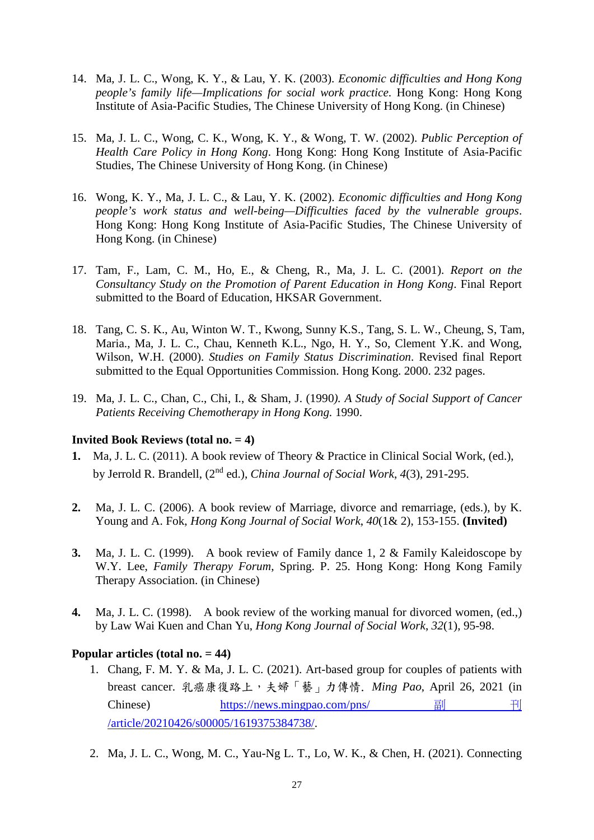- 14. Ma, J. L. C., Wong, K. Y., & Lau, Y. K. (2003). *Economic difficulties and Hong Kong people's family life—Implications for social work practice*. Hong Kong: Hong Kong Institute of Asia-Pacific Studies, The Chinese University of Hong Kong. (in Chinese)
- 15. Ma, J. L. C., Wong, C. K., Wong, K. Y., & Wong, T. W. (2002). *Public Perception of Health Care Policy in Hong Kong*. Hong Kong: Hong Kong Institute of Asia-Pacific Studies, The Chinese University of Hong Kong. (in Chinese)
- 16. Wong, K. Y., Ma, J. L. C., & Lau, Y. K. (2002). *Economic difficulties and Hong Kong people's work status and well-being—Difficulties faced by the vulnerable groups*. Hong Kong: Hong Kong Institute of Asia-Pacific Studies, The Chinese University of Hong Kong. (in Chinese)
- 17. Tam, F., Lam, C. M., Ho, E., & Cheng, R., Ma, J. L. C. (2001). *Report on the Consultancy Study on the Promotion of Parent Education in Hong Kong*. Final Report submitted to the Board of Education, HKSAR Government.
- 18. Tang, C. S. K., Au, Winton W. T., Kwong, Sunny K.S., Tang, S. L. W., Cheung, S, Tam, Maria., Ma, J. L. C., Chau, Kenneth K.L., Ngo, H. Y., So, Clement Y.K. and Wong, Wilson, W.H. (2000). *Studies on Family Status Discrimination*. Revised final Report submitted to the Equal Opportunities Commission. Hong Kong. 2000. 232 pages.
- 19. Ma, J. L. C., Chan, C., Chi, I., & Sham, J. (1990*). A Study of Social Support of Cancer Patients Receiving Chemotherapy in Hong Kong.* 1990.

#### **Invited Book Reviews (total no. = 4)**

- **1.** Ma, J. L. C. (2011). A book review of Theory & Practice in Clinical Social Work, (ed.), by Jerrold R. Brandell, (2nd ed.), *China Journal of Social Work*, *4*(3), 291-295.
- **2.** Ma, J. L. C. (2006). A book review of Marriage, divorce and remarriage, (eds.), by K. Young and A. Fok, *Hong Kong Journal of Social Work*, *40*(1& 2), 153-155. **(Invited)**
- **3.** Ma, J. L. C. (1999). A book review of Family dance 1, 2 & Family Kaleidoscope by W.Y. Lee, *Family Therapy Forum*, Spring. P. 25. Hong Kong: Hong Kong Family Therapy Association. (in Chinese)
- **4.** Ma, J. L. C. (1998). A book review of the working manual for divorced women, (ed.,) by Law Wai Kuen and Chan Yu, *Hong Kong Journal of Social Work*, *32*(1), 95-98.

#### **Popular articles (total no. = 44)**

- 1. Chang, F. M. Y. & Ma, J. L. C. (2021). Art-based group for couples of patients with breast cancer. 乳癌康復路上,夫婦「藝」力傳情. *Ming Pao*, April 26, 2021 (in Chinese) [https://news.mingpao.com/pns/](https://news.mingpao.com/pns/%E5%89%AF%E5%88%8A/article/20210426/s00005/1619375384738/) 副 刊 [/article/20210426/s00005/1619375384738/.](https://news.mingpao.com/pns/%E5%89%AF%E5%88%8A/article/20210426/s00005/1619375384738/)
- 2. Ma, J. L. C., Wong, M. C., Yau-Ng L. T., Lo, W. K., & Chen, H. (2021). Connecting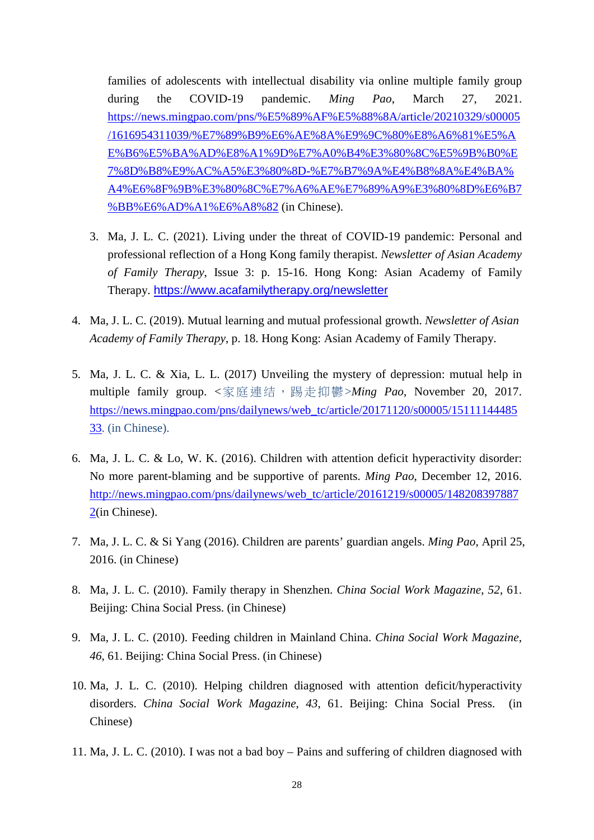families of adolescents with intellectual disability via online multiple family group during the COVID-19 pandemic. *Ming Pao*, March 27, 2021. [https://news.mingpao.com/pns/%E5%89%AF%E5%88%8A/article/20210329/s00005](https://news.mingpao.com/pns/%E5%89%AF%E5%88%8A/article/20210329/s00005/1616954311039/%E7%89%B9%E6%AE%8A%E9%9C%80%E8%A6%81%E5%AE%B6%E5%BA%AD%E8%A1%9D%E7%A0%B4%E3%80%8C%E5%9B%B0%E7%8D%B8%E9%AC%A5%E3%80%8D-%E7%B7%9A%E4%B8%8A%E4%BA%A4%E6%8F%9B%E3%80%8C%E7%A6%AE%E7%89%A9%E3%80%8D%E6%B7%BB%E6%AD%A1%E6%A8%82) [/1616954311039/%E7%89%B9%E6%AE%8A%E9%9C%80%E8%A6%81%E5%A](https://news.mingpao.com/pns/%E5%89%AF%E5%88%8A/article/20210329/s00005/1616954311039/%E7%89%B9%E6%AE%8A%E9%9C%80%E8%A6%81%E5%AE%B6%E5%BA%AD%E8%A1%9D%E7%A0%B4%E3%80%8C%E5%9B%B0%E7%8D%B8%E9%AC%A5%E3%80%8D-%E7%B7%9A%E4%B8%8A%E4%BA%A4%E6%8F%9B%E3%80%8C%E7%A6%AE%E7%89%A9%E3%80%8D%E6%B7%BB%E6%AD%A1%E6%A8%82) [E%B6%E5%BA%AD%E8%A1%9D%E7%A0%B4%E3%80%8C%E5%9B%B0%E](https://news.mingpao.com/pns/%E5%89%AF%E5%88%8A/article/20210329/s00005/1616954311039/%E7%89%B9%E6%AE%8A%E9%9C%80%E8%A6%81%E5%AE%B6%E5%BA%AD%E8%A1%9D%E7%A0%B4%E3%80%8C%E5%9B%B0%E7%8D%B8%E9%AC%A5%E3%80%8D-%E7%B7%9A%E4%B8%8A%E4%BA%A4%E6%8F%9B%E3%80%8C%E7%A6%AE%E7%89%A9%E3%80%8D%E6%B7%BB%E6%AD%A1%E6%A8%82) [7%8D%B8%E9%AC%A5%E3%80%8D-%E7%B7%9A%E4%B8%8A%E4%BA%](https://news.mingpao.com/pns/%E5%89%AF%E5%88%8A/article/20210329/s00005/1616954311039/%E7%89%B9%E6%AE%8A%E9%9C%80%E8%A6%81%E5%AE%B6%E5%BA%AD%E8%A1%9D%E7%A0%B4%E3%80%8C%E5%9B%B0%E7%8D%B8%E9%AC%A5%E3%80%8D-%E7%B7%9A%E4%B8%8A%E4%BA%A4%E6%8F%9B%E3%80%8C%E7%A6%AE%E7%89%A9%E3%80%8D%E6%B7%BB%E6%AD%A1%E6%A8%82) [A4%E6%8F%9B%E3%80%8C%E7%A6%AE%E7%89%A9%E3%80%8D%E6%B7](https://news.mingpao.com/pns/%E5%89%AF%E5%88%8A/article/20210329/s00005/1616954311039/%E7%89%B9%E6%AE%8A%E9%9C%80%E8%A6%81%E5%AE%B6%E5%BA%AD%E8%A1%9D%E7%A0%B4%E3%80%8C%E5%9B%B0%E7%8D%B8%E9%AC%A5%E3%80%8D-%E7%B7%9A%E4%B8%8A%E4%BA%A4%E6%8F%9B%E3%80%8C%E7%A6%AE%E7%89%A9%E3%80%8D%E6%B7%BB%E6%AD%A1%E6%A8%82) [%BB%E6%AD%A1%E6%A8%82](https://news.mingpao.com/pns/%E5%89%AF%E5%88%8A/article/20210329/s00005/1616954311039/%E7%89%B9%E6%AE%8A%E9%9C%80%E8%A6%81%E5%AE%B6%E5%BA%AD%E8%A1%9D%E7%A0%B4%E3%80%8C%E5%9B%B0%E7%8D%B8%E9%AC%A5%E3%80%8D-%E7%B7%9A%E4%B8%8A%E4%BA%A4%E6%8F%9B%E3%80%8C%E7%A6%AE%E7%89%A9%E3%80%8D%E6%B7%BB%E6%AD%A1%E6%A8%82) (in Chinese).

- 3. Ma, J. L. C. (2021). Living under the threat of COVID-19 pandemic: Personal and professional reflection of a Hong Kong family therapist. *Newsletter of Asian Academy of Family Therapy*, Issue 3: p. 15-16. Hong Kong: Asian Academy of Family Therapy. <https://www.acafamilytherapy.org/newsletter>
- 4. Ma, J. L. C. (2019). Mutual learning and mutual professional growth. *Newsletter of Asian Academy of Family Therapy*, p. 18. Hong Kong: Asian Academy of Family Therapy.
- 5. Ma, J. L. C. & Xia, L. L. (2017) Unveiling the mystery of depression: mutual help in multiple family group. <家庭連结,踢走抑鬱>*Ming Pao*, November 20, 2017. [https://news.mingpao.com/pns/dailynews/web\\_tc/article/20171120/s00005/15111144485](https://news.mingpao.com/pns/dailynews/web_tc/article/20171120/s00005/1511114448533) [33.](https://news.mingpao.com/pns/dailynews/web_tc/article/20171120/s00005/1511114448533) (in Chinese).
- 6. Ma, J. L. C. & Lo, W. K. (2016). Children with attention deficit hyperactivity disorder: No more parent-blaming and be supportive of parents. *Ming Pao*, December 12, 2016. [http://news.mingpao.com/pns/dailynews/web\\_tc/article/20161219/s00005/148208397887](http://news.mingpao.com/pns/dailynews/web_tc/article/20161219/s00005/1482083978872) [2\(](http://news.mingpao.com/pns/dailynews/web_tc/article/20161219/s00005/1482083978872)in Chinese).
- 7. Ma, J. L. C. & Si Yang (2016). Children are parents' guardian angels. *Ming Pao*, April 25, 2016. (in Chinese)
- 8. Ma, J. L. C. (2010). Family therapy in Shenzhen. *China Social Work Magazine*, *52*, 61. Beijing: China Social Press. (in Chinese)
- 9. Ma, J. L. C. (2010). Feeding children in Mainland China. *China Social Work Magazine*, *46*, 61. Beijing: China Social Press. (in Chinese)
- 10. Ma, J. L. C. (2010). Helping children diagnosed with attention deficit/hyperactivity disorders. *China Social Work Magazine*, *43*, 61. Beijing: China Social Press. (in Chinese)
- 11. Ma, J. L. C. (2010). I was not a bad boy Pains and suffering of children diagnosed with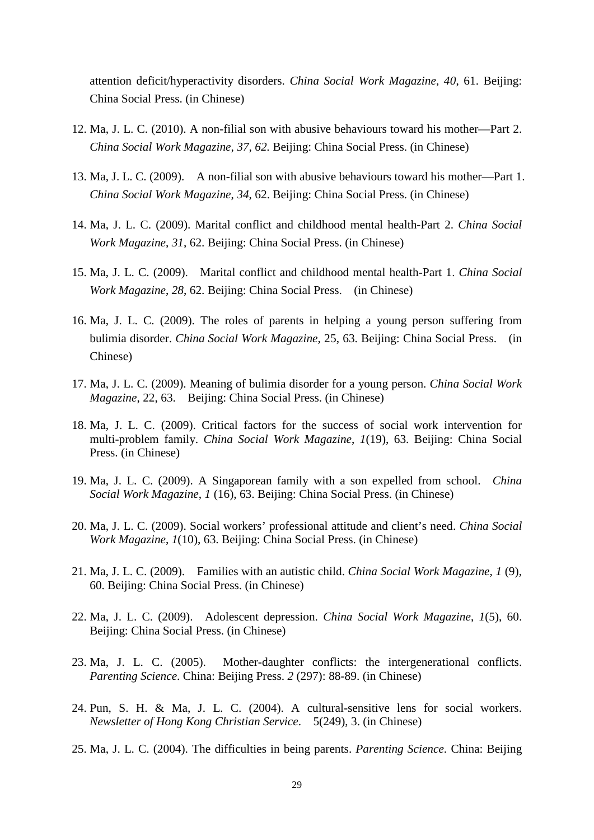attention deficit/hyperactivity disorders. *China Social Work Magazine*, *40*, 61. Beijing: China Social Press. (in Chinese)

- 12. Ma, J. L. C. (2010). A non-filial son with abusive behaviours toward his mother—Part 2. *China Social Work Magazine, 37, 62.* Beijing: China Social Press. (in Chinese)
- 13. Ma, J. L. C. (2009). A non-filial son with abusive behaviours toward his mother—Part 1. *China Social Work Magazine*, *34*, 62. Beijing: China Social Press. (in Chinese)
- 14. Ma, J. L. C. (2009). Marital conflict and childhood mental health-Part 2. *China Social Work Magazine*, *31*, 62. Beijing: China Social Press. (in Chinese)
- 15. Ma, J. L. C. (2009). Marital conflict and childhood mental health-Part 1. *China Social Work Magazine*, *28*, 62. Beijing: China Social Press. (in Chinese)
- 16. Ma, J. L. C. (2009). The roles of parents in helping a young person suffering from bulimia disorder. *China Social Work Magazine*, 25, 63. Beijing: China Social Press. (in Chinese)
- 17. Ma, J. L. C. (2009). Meaning of bulimia disorder for a young person. *China Social Work Magazine*, 22, 63. Beijing: China Social Press. (in Chinese)
- 18. Ma, J. L. C. (2009). Critical factors for the success of social work intervention for multi-problem family. *China Social Work Magazine*, *1*(19), 63. Beijing: China Social Press. (in Chinese)
- 19. Ma, J. L. C. (2009). A Singaporean family with a son expelled from school. *China Social Work Magazine*, *1* (16), 63. Beijing: China Social Press. (in Chinese)
- 20. Ma, J. L. C. (2009). Social workers' professional attitude and client's need. *China Social Work Magazine*, *1*(10), 63. Beijing: China Social Press. (in Chinese)
- 21. Ma, J. L. C. (2009). Families with an autistic child. *China Social Work Magazine*, *1* (9), 60. Beijing: China Social Press. (in Chinese)
- 22. Ma, J. L. C. (2009). Adolescent depression. *China Social Work Magazine*, *1*(5), 60. Beijing: China Social Press. (in Chinese)
- 23. Ma, J. L. C. (2005). Mother-daughter conflicts: the intergenerational conflicts. *Parenting Science*. China: Beijing Press. *2* (297): 88-89. (in Chinese)
- 24. Pun, S. H. & Ma, J. L. C. (2004). A cultural-sensitive lens for social workers. *Newsletter of Hong Kong Christian Service*. 5(249), 3. (in Chinese)
- 25. Ma, J. L. C. (2004). The difficulties in being parents. *Parenting Science*. China: Beijing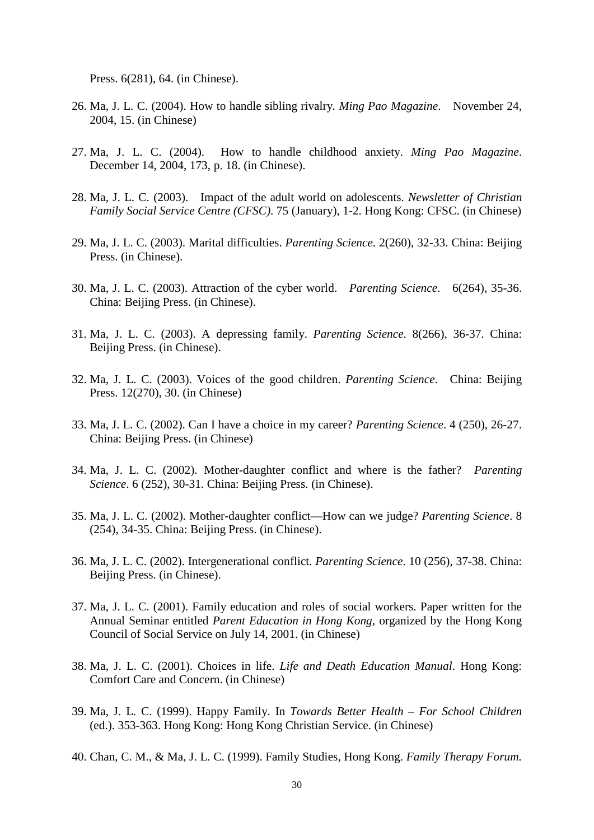Press. 6(281), 64. (in Chinese).

- 26. Ma, J. L. C. (2004). How to handle sibling rivalry*. Ming Pao Magazine*. November 24, 2004, 15. (in Chinese)
- 27. Ma, J. L. C. (2004). How to handle childhood anxiety. *Ming Pao Magazine*. December 14, 2004, 173, p. 18. (in Chinese).
- 28. Ma, J. L. C. (2003). Impact of the adult world on adolescents. *Newsletter of Christian Family Social Service Centre (CFSC)*. 75 (January), 1-2. Hong Kong: CFSC. (in Chinese)
- 29. Ma, J. L. C. (2003). Marital difficulties. *Parenting Science*. 2(260), 32-33. China: Beijing Press. (in Chinese).
- 30. Ma, J. L. C. (2003). Attraction of the cyber world. *Parenting Science*. 6(264), 35-36. China: Beijing Press. (in Chinese).
- 31. Ma, J. L. C. (2003). A depressing family. *Parenting Science*. 8(266), 36-37. China: Beijing Press. (in Chinese).
- 32. Ma, J. L. C. (2003). Voices of the good children. *Parenting Science*. China: Beijing Press. 12(270), 30. (in Chinese)
- 33. Ma, J. L. C. (2002). Can I have a choice in my career? *Parenting Science*. 4 (250), 26-27. China: Beijing Press. (in Chinese)
- 34. Ma, J. L. C. (2002). Mother-daughter conflict and where is the father? *Parenting Science*. 6 (252), 30-31. China: Beijing Press. (in Chinese).
- 35. Ma, J. L. C. (2002). Mother-daughter conflict—How can we judge? *Parenting Science*. 8 (254), 34-35. China: Beijing Press. (in Chinese).
- 36. Ma, J. L. C. (2002). Intergenerational conflict*. Parenting Science*. 10 (256), 37-38. China: Beijing Press. (in Chinese).
- 37. Ma, J. L. C. (2001). Family education and roles of social workers. Paper written for the Annual Seminar entitled *Parent Education in Hong Kong*, organized by the Hong Kong Council of Social Service on July 14, 2001. (in Chinese)
- 38. Ma, J. L. C. (2001). Choices in life. *Life and Death Education Manual*. Hong Kong: Comfort Care and Concern. (in Chinese)
- 39. Ma, J. L. C. (1999). Happy Family. In *Towards Better Health – For School Children* (ed.). 353-363. Hong Kong: Hong Kong Christian Service. (in Chinese)
- 40. Chan, C. M., & Ma, J. L. C. (1999). Family Studies, Hong Kong. *Family Therapy Forum.*